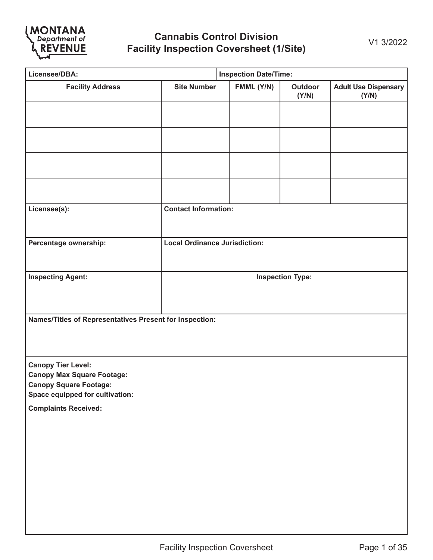

| Licensee/DBA:                                                                                                                      |                                      | <b>Inspection Date/Time:</b> |                         |                                      |  |  |  |
|------------------------------------------------------------------------------------------------------------------------------------|--------------------------------------|------------------------------|-------------------------|--------------------------------------|--|--|--|
| <b>Facility Address</b>                                                                                                            | <b>Site Number</b>                   | FMML (Y/N)                   | Outdoor<br>(Y/N)        | <b>Adult Use Dispensary</b><br>(Y/N) |  |  |  |
|                                                                                                                                    |                                      |                              |                         |                                      |  |  |  |
|                                                                                                                                    |                                      |                              |                         |                                      |  |  |  |
|                                                                                                                                    |                                      |                              |                         |                                      |  |  |  |
|                                                                                                                                    |                                      |                              |                         |                                      |  |  |  |
| Licensee(s):                                                                                                                       | <b>Contact Information:</b>          |                              |                         |                                      |  |  |  |
| Percentage ownership:                                                                                                              | <b>Local Ordinance Jurisdiction:</b> |                              |                         |                                      |  |  |  |
| <b>Inspecting Agent:</b>                                                                                                           |                                      |                              | <b>Inspection Type:</b> |                                      |  |  |  |
| Names/Titles of Representatives Present for Inspection:                                                                            |                                      |                              |                         |                                      |  |  |  |
| <b>Canopy Tier Level:</b><br><b>Canopy Max Square Footage:</b><br><b>Canopy Square Footage:</b><br>Space equipped for cultivation: |                                      |                              |                         |                                      |  |  |  |
| <b>Complaints Received:</b>                                                                                                        |                                      |                              |                         |                                      |  |  |  |
|                                                                                                                                    |                                      |                              |                         |                                      |  |  |  |
|                                                                                                                                    |                                      |                              |                         |                                      |  |  |  |
|                                                                                                                                    |                                      |                              |                         |                                      |  |  |  |
|                                                                                                                                    |                                      |                              |                         |                                      |  |  |  |
|                                                                                                                                    |                                      |                              |                         |                                      |  |  |  |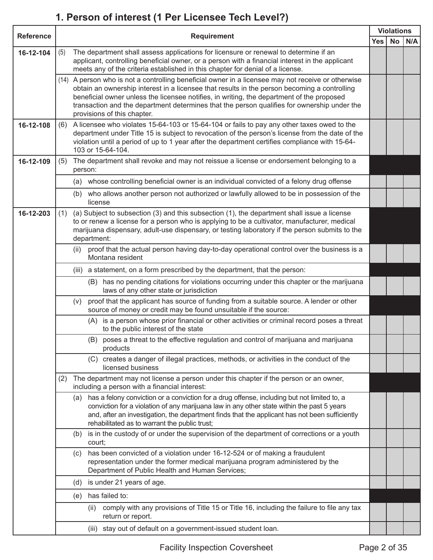### **1. Person of interest (1 Per Licensee Tech Level?)**

|                  | <b>Requirement</b> |         |                                                                                                                                                                                                                                                                                                                                                                                                                               |            | <b>Violations</b> |     |  |
|------------------|--------------------|---------|-------------------------------------------------------------------------------------------------------------------------------------------------------------------------------------------------------------------------------------------------------------------------------------------------------------------------------------------------------------------------------------------------------------------------------|------------|-------------------|-----|--|
| <b>Reference</b> |                    |         |                                                                                                                                                                                                                                                                                                                                                                                                                               | <b>Yes</b> | No                | N/A |  |
| 16-12-104        | (5)                |         | The department shall assess applications for licensure or renewal to determine if an<br>applicant, controlling beneficial owner, or a person with a financial interest in the applicant<br>meets any of the criteria established in this chapter for denial of a license.                                                                                                                                                     |            |                   |     |  |
|                  |                    |         | (14) A person who is not a controlling beneficial owner in a licensee may not receive or otherwise<br>obtain an ownership interest in a licensee that results in the person becoming a controlling<br>beneficial owner unless the licensee notifies, in writing, the department of the proposed<br>transaction and the department determines that the person qualifies for ownership under the<br>provisions of this chapter. |            |                   |     |  |
| 16-12-108        | (6)                |         | A licensee who violates 15-64-103 or 15-64-104 or fails to pay any other taxes owed to the<br>department under Title 15 is subject to revocation of the person's license from the date of the<br>violation until a period of up to 1 year after the department certifies compliance with 15-64-<br>103 or 15-64-104.                                                                                                          |            |                   |     |  |
| 16-12-109        | (5)                | person: | The department shall revoke and may not reissue a license or endorsement belonging to a                                                                                                                                                                                                                                                                                                                                       |            |                   |     |  |
|                  |                    | (a)     | whose controlling beneficial owner is an individual convicted of a felony drug offense                                                                                                                                                                                                                                                                                                                                        |            |                   |     |  |
|                  |                    | (b)     | who allows another person not authorized or lawfully allowed to be in possession of the<br>license                                                                                                                                                                                                                                                                                                                            |            |                   |     |  |
| 16-12-203        | (1)                |         | (a) Subject to subsection (3) and this subsection (1), the department shall issue a license<br>to or renew a license for a person who is applying to be a cultivator, manufacturer, medical<br>marijuana dispensary, adult-use dispensary, or testing laboratory if the person submits to the<br>department:                                                                                                                  |            |                   |     |  |
|                  |                    | (ii)    | proof that the actual person having day-to-day operational control over the business is a<br>Montana resident                                                                                                                                                                                                                                                                                                                 |            |                   |     |  |
|                  |                    | (iii)   | a statement, on a form prescribed by the department, that the person:                                                                                                                                                                                                                                                                                                                                                         |            |                   |     |  |
|                  |                    |         | (B) has no pending citations for violations occurring under this chapter or the marijuana<br>laws of any other state or jurisdiction                                                                                                                                                                                                                                                                                          |            |                   |     |  |
|                  |                    | (v)     | proof that the applicant has source of funding from a suitable source. A lender or other<br>source of money or credit may be found unsuitable if the source:                                                                                                                                                                                                                                                                  |            |                   |     |  |
|                  |                    |         | (A) is a person whose prior financial or other activities or criminal record poses a threat<br>to the public interest of the state                                                                                                                                                                                                                                                                                            |            |                   |     |  |
|                  |                    |         | (B) poses a threat to the effective regulation and control of marijuana and marijuana<br>products                                                                                                                                                                                                                                                                                                                             |            |                   |     |  |
|                  |                    |         | creates a danger of illegal practices, methods, or activities in the conduct of the<br>(C)<br>licensed business                                                                                                                                                                                                                                                                                                               |            |                   |     |  |
|                  | (2)                |         | The department may not license a person under this chapter if the person or an owner,<br>including a person with a financial interest:                                                                                                                                                                                                                                                                                        |            |                   |     |  |
|                  |                    | (a)     | has a felony conviction or a conviction for a drug offense, including but not limited to, a<br>conviction for a violation of any marijuana law in any other state within the past 5 years<br>and, after an investigation, the department finds that the applicant has not been sufficiently<br>rehabilitated as to warrant the public trust;                                                                                  |            |                   |     |  |
|                  |                    | (b)     | is in the custody of or under the supervision of the department of corrections or a youth<br>court;                                                                                                                                                                                                                                                                                                                           |            |                   |     |  |
|                  |                    | (c)     | has been convicted of a violation under 16-12-524 or of making a fraudulent<br>representation under the former medical marijuana program administered by the<br>Department of Public Health and Human Services;                                                                                                                                                                                                               |            |                   |     |  |
|                  |                    | (d)     | is under 21 years of age.                                                                                                                                                                                                                                                                                                                                                                                                     |            |                   |     |  |
|                  |                    | (e)     | has failed to:                                                                                                                                                                                                                                                                                                                                                                                                                |            |                   |     |  |
|                  |                    |         | comply with any provisions of Title 15 or Title 16, including the failure to file any tax<br>(ii)<br>return or report.                                                                                                                                                                                                                                                                                                        |            |                   |     |  |
|                  |                    |         | stay out of default on a government-issued student loan.<br>(iii)                                                                                                                                                                                                                                                                                                                                                             |            |                   |     |  |
|                  |                    |         |                                                                                                                                                                                                                                                                                                                                                                                                                               |            |                   |     |  |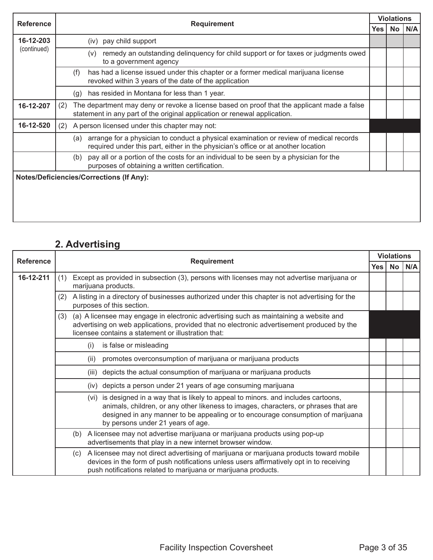| <b>Reference</b> | <b>Requirement</b><br>Yes                                                                                                                                                          |  | <b>Violations</b> |     |  |
|------------------|------------------------------------------------------------------------------------------------------------------------------------------------------------------------------------|--|-------------------|-----|--|
|                  |                                                                                                                                                                                    |  | No.               | N/A |  |
| 16-12-203        | pay child support<br>(iv)                                                                                                                                                          |  |                   |     |  |
| (continued)      | remedy an outstanding delinquency for child support or for taxes or judgments owed<br>(v)<br>to a government agency                                                                |  |                   |     |  |
|                  | has had a license issued under this chapter or a former medical marijuana license<br>(f)<br>revoked within 3 years of the date of the application                                  |  |                   |     |  |
|                  | has resided in Montana for less than 1 year.<br>(g)                                                                                                                                |  |                   |     |  |
| 16-12-207        | The department may deny or revoke a license based on proof that the applicant made a false<br>(2)<br>statement in any part of the original application or renewal application.     |  |                   |     |  |
| 16-12-520        | A person licensed under this chapter may not:<br>(2)                                                                                                                               |  |                   |     |  |
|                  | arrange for a physician to conduct a physical examination or review of medical records<br>(a)<br>required under this part, either in the physician's office or at another location |  |                   |     |  |
|                  | pay all or a portion of the costs for an individual to be seen by a physician for the<br>(b)<br>purposes of obtaining a written certification.                                     |  |                   |     |  |
|                  | <b>Notes/Deficiencies/Corrections (If Any):</b>                                                                                                                                    |  |                   |     |  |

## **2. Advertising**

| <b>Reference</b> | <b>Requirement</b> |                                                                                                                                                                                                                                                                                                     | <b>Violations</b> |           |     |  |
|------------------|--------------------|-----------------------------------------------------------------------------------------------------------------------------------------------------------------------------------------------------------------------------------------------------------------------------------------------------|-------------------|-----------|-----|--|
|                  |                    |                                                                                                                                                                                                                                                                                                     | Yes               | <b>No</b> | N/A |  |
| 16-12-211        | (1)                | Except as provided in subsection (3), persons with licenses may not advertise marijuana or<br>marijuana products.                                                                                                                                                                                   |                   |           |     |  |
|                  | (2)                | A listing in a directory of businesses authorized under this chapter is not advertising for the<br>purposes of this section.                                                                                                                                                                        |                   |           |     |  |
|                  | (3)                | (a) A licensee may engage in electronic advertising such as maintaining a website and<br>advertising on web applications, provided that no electronic advertisement produced by the<br>licensee contains a statement or illustration that:                                                          |                   |           |     |  |
|                  |                    | is false or misleading<br>(i)                                                                                                                                                                                                                                                                       |                   |           |     |  |
|                  |                    | promotes overconsumption of marijuana or marijuana products<br>(ii)                                                                                                                                                                                                                                 |                   |           |     |  |
|                  |                    | depicts the actual consumption of marijuana or marijuana products<br>(iii)                                                                                                                                                                                                                          |                   |           |     |  |
|                  |                    | depicts a person under 21 years of age consuming marijuana<br>(iv)                                                                                                                                                                                                                                  |                   |           |     |  |
|                  |                    | (vi) is designed in a way that is likely to appeal to minors. and includes cartoons,<br>animals, children, or any other likeness to images, characters, or phrases that are<br>designed in any manner to be appealing or to encourage consumption of marijuana<br>by persons under 21 years of age. |                   |           |     |  |
|                  |                    | A licensee may not advertise marijuana or marijuana products using pop-up<br>(b)<br>advertisements that play in a new internet browser window.                                                                                                                                                      |                   |           |     |  |
|                  |                    | A licensee may not direct advertising of marijuana or marijuana products toward mobile<br>(c)<br>devices in the form of push notifications unless users affirmatively opt in to receiving<br>push notifications related to marijuana or marijuana products.                                         |                   |           |     |  |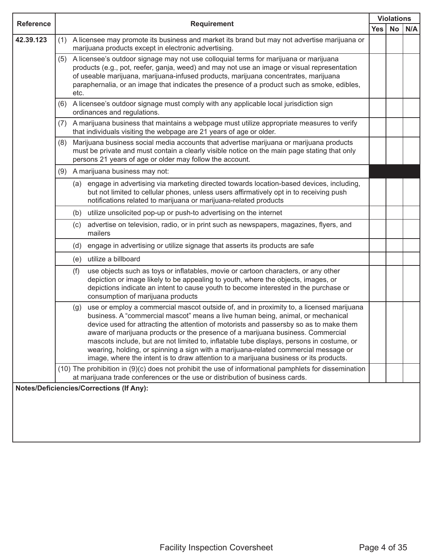| <b>Reference</b> | <b>Requirement</b>                                                                                    |      |                                                                                                                                                                                                                                                                                                                                                                                                                                                                                                                                                                                                                                      |            | <b>Violations</b> |     |  |
|------------------|-------------------------------------------------------------------------------------------------------|------|--------------------------------------------------------------------------------------------------------------------------------------------------------------------------------------------------------------------------------------------------------------------------------------------------------------------------------------------------------------------------------------------------------------------------------------------------------------------------------------------------------------------------------------------------------------------------------------------------------------------------------------|------------|-------------------|-----|--|
|                  |                                                                                                       |      |                                                                                                                                                                                                                                                                                                                                                                                                                                                                                                                                                                                                                                      | <b>Yes</b> | <b>No</b>         | N/A |  |
| 42.39.123        | (1)                                                                                                   |      | A licensee may promote its business and market its brand but may not advertise marijuana or<br>marijuana products except in electronic advertising.                                                                                                                                                                                                                                                                                                                                                                                                                                                                                  |            |                   |     |  |
|                  | (5)                                                                                                   | etc. | A licensee's outdoor signage may not use colloquial terms for marijuana or marijuana<br>products (e.g., pot, reefer, ganja, weed) and may not use an image or visual representation<br>of useable marijuana, marijuana-infused products, marijuana concentrates, marijuana<br>paraphernalia, or an image that indicates the presence of a product such as smoke, edibles,                                                                                                                                                                                                                                                            |            |                   |     |  |
|                  | (6)                                                                                                   |      | A licensee's outdoor signage must comply with any applicable local jurisdiction sign<br>ordinances and regulations.                                                                                                                                                                                                                                                                                                                                                                                                                                                                                                                  |            |                   |     |  |
|                  | (7)                                                                                                   |      | A marijuana business that maintains a webpage must utilize appropriate measures to verify<br>that individuals visiting the webpage are 21 years of age or older.                                                                                                                                                                                                                                                                                                                                                                                                                                                                     |            |                   |     |  |
|                  | (8)                                                                                                   |      | Marijuana business social media accounts that advertise marijuana or marijuana products<br>must be private and must contain a clearly visible notice on the main page stating that only<br>persons 21 years of age or older may follow the account.                                                                                                                                                                                                                                                                                                                                                                                  |            |                   |     |  |
|                  | (9)                                                                                                   |      | A marijuana business may not:                                                                                                                                                                                                                                                                                                                                                                                                                                                                                                                                                                                                        |            |                   |     |  |
|                  |                                                                                                       |      | (a) engage in advertising via marketing directed towards location-based devices, including,<br>but not limited to cellular phones, unless users affirmatively opt in to receiving push<br>notifications related to marijuana or marijuana-related products                                                                                                                                                                                                                                                                                                                                                                           |            |                   |     |  |
|                  |                                                                                                       |      | (b) utilize unsolicited pop-up or push-to advertising on the internet                                                                                                                                                                                                                                                                                                                                                                                                                                                                                                                                                                |            |                   |     |  |
|                  |                                                                                                       |      | (c) advertise on television, radio, or in print such as newspapers, magazines, flyers, and<br>mailers                                                                                                                                                                                                                                                                                                                                                                                                                                                                                                                                |            |                   |     |  |
|                  |                                                                                                       |      | (d) engage in advertising or utilize signage that asserts its products are safe                                                                                                                                                                                                                                                                                                                                                                                                                                                                                                                                                      |            |                   |     |  |
|                  |                                                                                                       |      | (e) utilize a billboard                                                                                                                                                                                                                                                                                                                                                                                                                                                                                                                                                                                                              |            |                   |     |  |
|                  |                                                                                                       | (f)  | use objects such as toys or inflatables, movie or cartoon characters, or any other<br>depiction or image likely to be appealing to youth, where the objects, images, or<br>depictions indicate an intent to cause youth to become interested in the purchase or<br>consumption of marijuana products                                                                                                                                                                                                                                                                                                                                 |            |                   |     |  |
|                  |                                                                                                       | (g)  | use or employ a commercial mascot outside of, and in proximity to, a licensed marijuana<br>business. A "commercial mascot" means a live human being, animal, or mechanical<br>device used for attracting the attention of motorists and passersby so as to make them<br>aware of marijuana products or the presence of a marijuana business. Commercial<br>mascots include, but are not limited to, inflatable tube displays, persons in costume, or<br>wearing, holding, or spinning a sign with a marijuana-related commercial message or<br>image, where the intent is to draw attention to a marijuana business or its products. |            |                   |     |  |
|                  | (10) The prohibition in (9)(c) does not prohibit the use of informational pamphlets for dissemination |      |                                                                                                                                                                                                                                                                                                                                                                                                                                                                                                                                                                                                                                      |            |                   |     |  |
|                  |                                                                                                       |      | at marijuana trade conferences or the use or distribution of business cards.                                                                                                                                                                                                                                                                                                                                                                                                                                                                                                                                                         |            |                   |     |  |
|                  |                                                                                                       |      | <b>Notes/Deficiencies/Corrections (If Any):</b>                                                                                                                                                                                                                                                                                                                                                                                                                                                                                                                                                                                      |            |                   |     |  |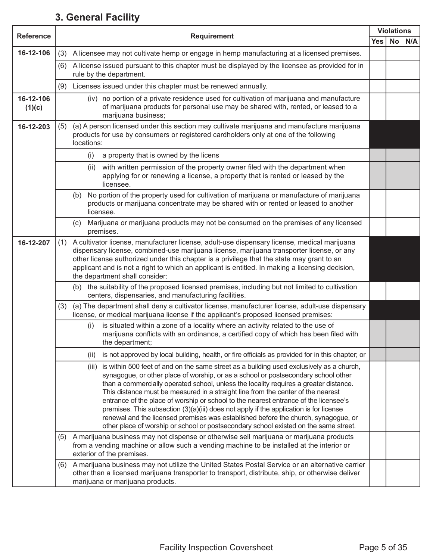#### **3. General Facility**

| <b>Reference</b>    | <b>Requirement</b>                                                                                                                                                                                                                                                                                                                                                                                                                                                                                                                                                                                                                                                                                                                     |            |           | <b>Violations</b> |
|---------------------|----------------------------------------------------------------------------------------------------------------------------------------------------------------------------------------------------------------------------------------------------------------------------------------------------------------------------------------------------------------------------------------------------------------------------------------------------------------------------------------------------------------------------------------------------------------------------------------------------------------------------------------------------------------------------------------------------------------------------------------|------------|-----------|-------------------|
|                     |                                                                                                                                                                                                                                                                                                                                                                                                                                                                                                                                                                                                                                                                                                                                        | <b>Yes</b> | <b>No</b> | N/A               |
| 16-12-106           | A licensee may not cultivate hemp or engage in hemp manufacturing at a licensed premises.<br>(3)                                                                                                                                                                                                                                                                                                                                                                                                                                                                                                                                                                                                                                       |            |           |                   |
|                     | (6) A license issued pursuant to this chapter must be displayed by the licensee as provided for in<br>rule by the department.                                                                                                                                                                                                                                                                                                                                                                                                                                                                                                                                                                                                          |            |           |                   |
|                     | Licenses issued under this chapter must be renewed annually.<br>(9)                                                                                                                                                                                                                                                                                                                                                                                                                                                                                                                                                                                                                                                                    |            |           |                   |
| 16-12-106<br>(1)(c) | (iv) no portion of a private residence used for cultivation of marijuana and manufacture<br>of marijuana products for personal use may be shared with, rented, or leased to a<br>marijuana business;                                                                                                                                                                                                                                                                                                                                                                                                                                                                                                                                   |            |           |                   |
| 16-12-203           | (a) A person licensed under this section may cultivate marijuana and manufacture marijuana<br>(5)<br>products for use by consumers or registered cardholders only at one of the following<br>locations:                                                                                                                                                                                                                                                                                                                                                                                                                                                                                                                                |            |           |                   |
|                     | a property that is owned by the licens<br>(i)                                                                                                                                                                                                                                                                                                                                                                                                                                                                                                                                                                                                                                                                                          |            |           |                   |
|                     | with written permission of the property owner filed with the department when<br>(ii)<br>applying for or renewing a license, a property that is rented or leased by the<br>licensee.                                                                                                                                                                                                                                                                                                                                                                                                                                                                                                                                                    |            |           |                   |
|                     | No portion of the property used for cultivation of marijuana or manufacture of marijuana<br>(b)<br>products or marijuana concentrate may be shared with or rented or leased to another<br>licensee.                                                                                                                                                                                                                                                                                                                                                                                                                                                                                                                                    |            |           |                   |
|                     | Marijuana or marijuana products may not be consumed on the premises of any licensed<br>(c)<br>premises.                                                                                                                                                                                                                                                                                                                                                                                                                                                                                                                                                                                                                                |            |           |                   |
| 16-12-207           | A cultivator license, manufacturer license, adult-use dispensary license, medical marijuana<br>(1)<br>dispensary license, combined-use marijuana license, marijuana transporter license, or any<br>other license authorized under this chapter is a privilege that the state may grant to an<br>applicant and is not a right to which an applicant is entitled. In making a licensing decision,<br>the department shall consider:                                                                                                                                                                                                                                                                                                      |            |           |                   |
|                     | (b) the suitability of the proposed licensed premises, including but not limited to cultivation<br>centers, dispensaries, and manufacturing facilities.                                                                                                                                                                                                                                                                                                                                                                                                                                                                                                                                                                                |            |           |                   |
|                     | (a) The department shall deny a cultivator license, manufacturer license, adult-use dispensary<br>(3)<br>license, or medical marijuana license if the applicant's proposed licensed premises:                                                                                                                                                                                                                                                                                                                                                                                                                                                                                                                                          |            |           |                   |
|                     | is situated within a zone of a locality where an activity related to the use of<br>(i)<br>marijuana conflicts with an ordinance, a certified copy of which has been filed with<br>the department;                                                                                                                                                                                                                                                                                                                                                                                                                                                                                                                                      |            |           |                   |
|                     | is not approved by local building, health, or fire officials as provided for in this chapter; or<br>(ii)                                                                                                                                                                                                                                                                                                                                                                                                                                                                                                                                                                                                                               |            |           |                   |
|                     | is within 500 feet of and on the same street as a building used exclusively as a church,<br>(iii)<br>synagogue, or other place of worship, or as a school or postsecondary school other<br>than a commercially operated school, unless the locality requires a greater distance.<br>This distance must be measured in a straight line from the center of the nearest<br>entrance of the place of worship or school to the nearest entrance of the licensee's<br>premises. This subsection $(3)(a)(iii)$ does not apply if the application is for license<br>renewal and the licensed premises was established before the church, synagogue, or<br>other place of worship or school or postsecondary school existed on the same street. |            |           |                   |
|                     | A marijuana business may not dispense or otherwise sell marijuana or marijuana products<br>(5)<br>from a vending machine or allow such a vending machine to be installed at the interior or<br>exterior of the premises.                                                                                                                                                                                                                                                                                                                                                                                                                                                                                                               |            |           |                   |
|                     | A marijuana business may not utilize the United States Postal Service or an alternative carrier<br>(6)<br>other than a licensed marijuana transporter to transport, distribute, ship, or otherwise deliver<br>marijuana or marijuana products.                                                                                                                                                                                                                                                                                                                                                                                                                                                                                         |            |           |                   |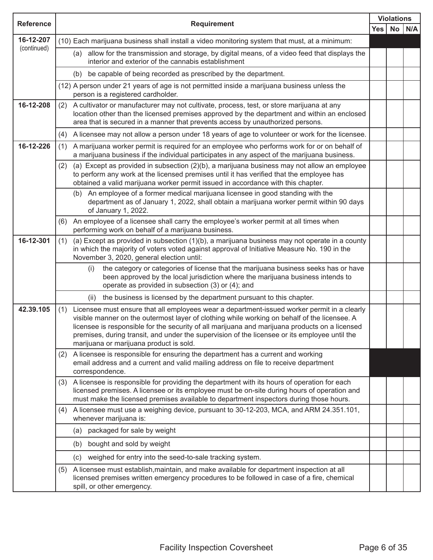| <b>Reference</b> | <b>Requirement</b>                                                                                                                                                                                                                                                                                                                                                                                                                               |            |      | <b>Violations</b> |
|------------------|--------------------------------------------------------------------------------------------------------------------------------------------------------------------------------------------------------------------------------------------------------------------------------------------------------------------------------------------------------------------------------------------------------------------------------------------------|------------|------|-------------------|
|                  |                                                                                                                                                                                                                                                                                                                                                                                                                                                  | <b>Yes</b> | No l | N/A               |
| 16-12-207        | (10) Each marijuana business shall install a video monitoring system that must, at a minimum:                                                                                                                                                                                                                                                                                                                                                    |            |      |                   |
| (continued)      | allow for the transmission and storage, by digital means, of a video feed that displays the<br>(a)<br>interior and exterior of the cannabis establishment                                                                                                                                                                                                                                                                                        |            |      |                   |
|                  | be capable of being recorded as prescribed by the department.<br>(b)                                                                                                                                                                                                                                                                                                                                                                             |            |      |                   |
|                  | (12) A person under 21 years of age is not permitted inside a marijuana business unless the<br>person is a registered cardholder.                                                                                                                                                                                                                                                                                                                |            |      |                   |
| 16-12-208        | A cultivator or manufacturer may not cultivate, process, test, or store marijuana at any<br>(2)<br>location other than the licensed premises approved by the department and within an enclosed<br>area that is secured in a manner that prevents access by unauthorized persons.                                                                                                                                                                 |            |      |                   |
|                  | A licensee may not allow a person under 18 years of age to volunteer or work for the licensee.<br>(4)                                                                                                                                                                                                                                                                                                                                            |            |      |                   |
| 16-12-226        | A marijuana worker permit is required for an employee who performs work for or on behalf of<br>(1)<br>a marijuana business if the individual participates in any aspect of the marijuana business.                                                                                                                                                                                                                                               |            |      |                   |
|                  | (a) Except as provided in subsection (2)(b), a marijuana business may not allow an employee<br>(2)<br>to perform any work at the licensed premises until it has verified that the employee has<br>obtained a valid marijuana worker permit issued in accordance with this chapter.                                                                                                                                                               |            |      |                   |
|                  | (b) An employee of a former medical marijuana licensee in good standing with the<br>department as of January 1, 2022, shall obtain a marijuana worker permit within 90 days<br>of January 1, 2022.                                                                                                                                                                                                                                               |            |      |                   |
|                  | An employee of a licensee shall carry the employee's worker permit at all times when<br>(6)<br>performing work on behalf of a marijuana business.                                                                                                                                                                                                                                                                                                |            |      |                   |
| 16-12-301        | (a) Except as provided in subsection $(1)(b)$ , a marijuana business may not operate in a county<br>(1)<br>in which the majority of voters voted against approval of Initiative Measure No. 190 in the<br>November 3, 2020, general election until:                                                                                                                                                                                              |            |      |                   |
|                  | the category or categories of license that the marijuana business seeks has or have<br>(i)<br>been approved by the local jurisdiction where the marijuana business intends to<br>operate as provided in subsection (3) or (4); and                                                                                                                                                                                                               |            |      |                   |
|                  | the business is licensed by the department pursuant to this chapter.<br>(ii)                                                                                                                                                                                                                                                                                                                                                                     |            |      |                   |
| 42.39.105        | Licensee must ensure that all employees wear a department-issued worker permit in a clearly<br>(1)<br>visible manner on the outermost layer of clothing while working on behalf of the licensee. A<br>licensee is responsible for the security of all marijuana and marijuana products on a licensed<br>premises, during transit, and under the supervision of the licensee or its employee until the<br>marijuana or marijuana product is sold. |            |      |                   |
|                  | A licensee is responsible for ensuring the department has a current and working<br>(2)<br>email address and a current and valid mailing address on file to receive department<br>correspondence.                                                                                                                                                                                                                                                 |            |      |                   |
|                  | A licensee is responsible for providing the department with its hours of operation for each<br>(3)<br>licensed premises. A licensee or its employee must be on-site during hours of operation and<br>must make the licensed premises available to department inspectors during those hours.                                                                                                                                                      |            |      |                   |
|                  | A licensee must use a weighing device, pursuant to 30-12-203, MCA, and ARM 24.351.101,<br>(4)<br>whenever marijuana is:                                                                                                                                                                                                                                                                                                                          |            |      |                   |
|                  | packaged for sale by weight<br>(a)                                                                                                                                                                                                                                                                                                                                                                                                               |            |      |                   |
|                  | bought and sold by weight<br>(b)                                                                                                                                                                                                                                                                                                                                                                                                                 |            |      |                   |
|                  | weighed for entry into the seed-to-sale tracking system.<br>(c)                                                                                                                                                                                                                                                                                                                                                                                  |            |      |                   |
|                  | A licensee must establish, maintain, and make available for department inspection at all<br>(5)<br>licensed premises written emergency procedures to be followed in case of a fire, chemical<br>spill, or other emergency.                                                                                                                                                                                                                       |            |      |                   |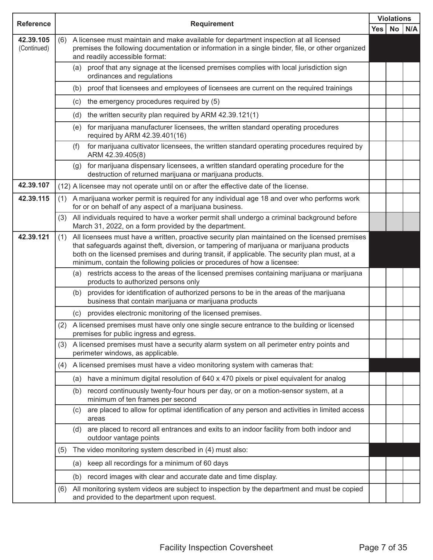|                          |     |                                                                                                                                                                                                                                                                                                                                                                          |                 | <b>Violations</b> |
|--------------------------|-----|--------------------------------------------------------------------------------------------------------------------------------------------------------------------------------------------------------------------------------------------------------------------------------------------------------------------------------------------------------------------------|-----------------|-------------------|
| <b>Reference</b>         |     | <b>Requirement</b><br>Yes                                                                                                                                                                                                                                                                                                                                                | No <sub>1</sub> | N/A               |
| 42.39.105<br>(Continued) | (6) | A licensee must maintain and make available for department inspection at all licensed<br>premises the following documentation or information in a single binder, file, or other organized<br>and readily accessible format:                                                                                                                                              |                 |                   |
|                          |     | proof that any signage at the licensed premises complies with local jurisdiction sign<br>(a)<br>ordinances and regulations                                                                                                                                                                                                                                               |                 |                   |
|                          |     | proof that licensees and employees of licensees are current on the required trainings<br>(b)                                                                                                                                                                                                                                                                             |                 |                   |
|                          |     | (c) the emergency procedures required by (5)                                                                                                                                                                                                                                                                                                                             |                 |                   |
|                          |     | (d) the written security plan required by ARM 42.39.121(1)                                                                                                                                                                                                                                                                                                               |                 |                   |
|                          |     | for marijuana manufacturer licensees, the written standard operating procedures<br>(e)<br>required by ARM 42.39.401(16)                                                                                                                                                                                                                                                  |                 |                   |
|                          |     | for marijuana cultivator licensees, the written standard operating procedures required by<br>(f)<br>ARM 42.39.405(8)                                                                                                                                                                                                                                                     |                 |                   |
|                          |     | for marijuana dispensary licensees, a written standard operating procedure for the<br>(g)<br>destruction of returned marijuana or marijuana products.                                                                                                                                                                                                                    |                 |                   |
| 42.39.107                |     | (12) A licensee may not operate until on or after the effective date of the license.                                                                                                                                                                                                                                                                                     |                 |                   |
| 42.39.115                | (1) | A marijuana worker permit is required for any individual age 18 and over who performs work<br>for or on behalf of any aspect of a marijuana business.                                                                                                                                                                                                                    |                 |                   |
|                          | (3) | All individuals required to have a worker permit shall undergo a criminal background before<br>March 31, 2022, on a form provided by the department.                                                                                                                                                                                                                     |                 |                   |
| 42.39.121                | (1) | All licensees must have a written, proactive security plan maintained on the licensed premises<br>that safeguards against theft, diversion, or tampering of marijuana or marijuana products<br>both on the licensed premises and during transit, if applicable. The security plan must, at a<br>minimum, contain the following policies or procedures of how a licensee: |                 |                   |
|                          |     | (a) restricts access to the areas of the licensed premises containing marijuana or marijuana<br>products to authorized persons only                                                                                                                                                                                                                                      |                 |                   |
|                          |     | provides for identification of authorized persons to be in the areas of the marijuana<br>(b)<br>business that contain marijuana or marijuana products                                                                                                                                                                                                                    |                 |                   |
|                          |     | provides electronic monitoring of the licensed premises.<br>(c)                                                                                                                                                                                                                                                                                                          |                 |                   |
|                          |     | (2) A licensed premises must have only one single secure entrance to the building or licensed<br>premises for public ingress and egress.                                                                                                                                                                                                                                 |                 |                   |
|                          | (3) | A licensed premises must have a security alarm system on all perimeter entry points and<br>perimeter windows, as applicable.                                                                                                                                                                                                                                             |                 |                   |
|                          | (4) | A licensed premises must have a video monitoring system with cameras that:                                                                                                                                                                                                                                                                                               |                 |                   |
|                          |     | have a minimum digital resolution of 640 x 470 pixels or pixel equivalent for analog<br>(a)                                                                                                                                                                                                                                                                              |                 |                   |
|                          |     | record continuously twenty-four hours per day, or on a motion-sensor system, at a<br>(b)<br>minimum of ten frames per second                                                                                                                                                                                                                                             |                 |                   |
|                          |     | are placed to allow for optimal identification of any person and activities in limited access<br>(c)<br>areas                                                                                                                                                                                                                                                            |                 |                   |
|                          |     | are placed to record all entrances and exits to an indoor facility from both indoor and<br>(d)<br>outdoor vantage points                                                                                                                                                                                                                                                 |                 |                   |
|                          | (5) | The video monitoring system described in (4) must also:                                                                                                                                                                                                                                                                                                                  |                 |                   |
|                          |     | keep all recordings for a minimum of 60 days<br>(a)                                                                                                                                                                                                                                                                                                                      |                 |                   |
|                          |     | record images with clear and accurate date and time display.<br>(b)                                                                                                                                                                                                                                                                                                      |                 |                   |
|                          | (6) | All monitoring system videos are subject to inspection by the department and must be copied<br>and provided to the department upon request.                                                                                                                                                                                                                              |                 |                   |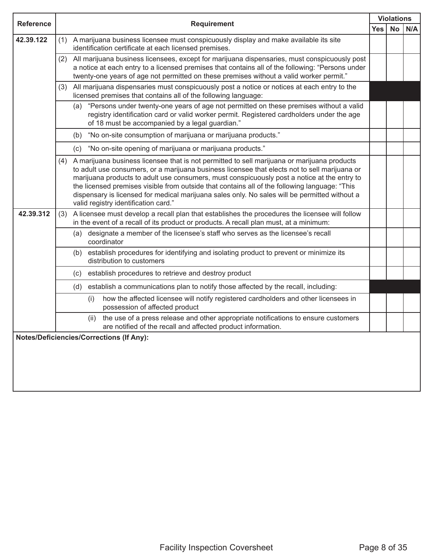| <b>Reference</b> | <b>Requirement</b> |                                                                                                                                                                                                                                                                                                                                                                                                                                                                                                                                       | <b>Violations</b> |     |  |
|------------------|--------------------|---------------------------------------------------------------------------------------------------------------------------------------------------------------------------------------------------------------------------------------------------------------------------------------------------------------------------------------------------------------------------------------------------------------------------------------------------------------------------------------------------------------------------------------|-------------------|-----|--|
|                  |                    | Yes                                                                                                                                                                                                                                                                                                                                                                                                                                                                                                                                   | No                | N/A |  |
| 42.39.122        | (1)                | A marijuana business licensee must conspicuously display and make available its site<br>identification certificate at each licensed premises.                                                                                                                                                                                                                                                                                                                                                                                         |                   |     |  |
|                  | (2)                | All marijuana business licensees, except for marijuana dispensaries, must conspicuously post<br>a notice at each entry to a licensed premises that contains all of the following: "Persons under<br>twenty-one years of age not permitted on these premises without a valid worker permit."                                                                                                                                                                                                                                           |                   |     |  |
|                  | (3)                | All marijuana dispensaries must conspicuously post a notice or notices at each entry to the<br>licensed premises that contains all of the following language:                                                                                                                                                                                                                                                                                                                                                                         |                   |     |  |
|                  |                    | (a) "Persons under twenty-one years of age not permitted on these premises without a valid<br>registry identification card or valid worker permit. Registered cardholders under the age<br>of 18 must be accompanied by a legal guardian."                                                                                                                                                                                                                                                                                            |                   |     |  |
|                  |                    | "No on-site consumption of marijuana or marijuana products."<br>(b)                                                                                                                                                                                                                                                                                                                                                                                                                                                                   |                   |     |  |
|                  |                    | "No on-site opening of marijuana or marijuana products."<br>(c)                                                                                                                                                                                                                                                                                                                                                                                                                                                                       |                   |     |  |
|                  | (4)                | A marijuana business licensee that is not permitted to sell marijuana or marijuana products<br>to adult use consumers, or a marijuana business licensee that elects not to sell marijuana or<br>marijuana products to adult use consumers, must conspicuously post a notice at the entry to<br>the licensed premises visible from outside that contains all of the following language: "This<br>dispensary is licensed for medical marijuana sales only. No sales will be permitted without a<br>valid registry identification card." |                   |     |  |
| 42.39.312        | (3)                | A licensee must develop a recall plan that establishes the procedures the licensee will follow<br>in the event of a recall of its product or products. A recall plan must, at a minimum:                                                                                                                                                                                                                                                                                                                                              |                   |     |  |
|                  |                    | designate a member of the licensee's staff who serves as the licensee's recall<br>(a)<br>coordinator                                                                                                                                                                                                                                                                                                                                                                                                                                  |                   |     |  |
|                  |                    | establish procedures for identifying and isolating product to prevent or minimize its<br>(b)<br>distribution to customers                                                                                                                                                                                                                                                                                                                                                                                                             |                   |     |  |
|                  |                    | establish procedures to retrieve and destroy product<br>(c)                                                                                                                                                                                                                                                                                                                                                                                                                                                                           |                   |     |  |
|                  |                    | establish a communications plan to notify those affected by the recall, including:<br>(d)                                                                                                                                                                                                                                                                                                                                                                                                                                             |                   |     |  |
|                  |                    | how the affected licensee will notify registered cardholders and other licensees in<br>(i)<br>possession of affected product                                                                                                                                                                                                                                                                                                                                                                                                          |                   |     |  |
|                  |                    | the use of a press release and other appropriate notifications to ensure customers<br>(ii)<br>are notified of the recall and affected product information.                                                                                                                                                                                                                                                                                                                                                                            |                   |     |  |
|                  |                    | <b>Notes/Deficiencies/Corrections (If Any):</b>                                                                                                                                                                                                                                                                                                                                                                                                                                                                                       |                   |     |  |
|                  |                    |                                                                                                                                                                                                                                                                                                                                                                                                                                                                                                                                       |                   |     |  |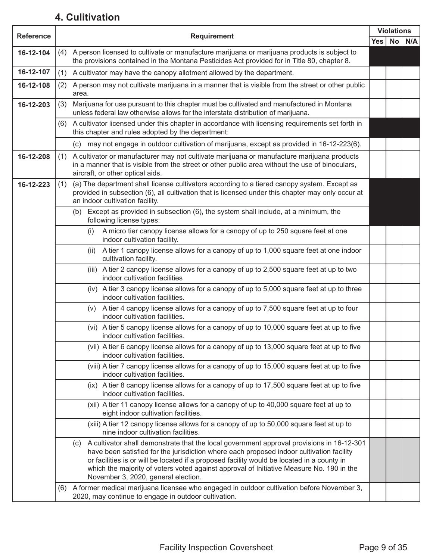#### **4. Culitivation**

| <b>Reference</b> | <b>Requirement</b>                                                                                                                                                                                                                         |  |    |     |
|------------------|--------------------------------------------------------------------------------------------------------------------------------------------------------------------------------------------------------------------------------------------|--|----|-----|
|                  |                                                                                                                                                                                                                                            |  | No | N/A |
| 16-12-104        | A person licensed to cultivate or manufacture marijuana or marijuana products is subject to<br>(4)<br>the provisions contained in the Montana Pesticides Act provided for in Title 80, chapter 8.                                          |  |    |     |
| 16-12-107        | (1) A cultivator may have the canopy allotment allowed by the department.                                                                                                                                                                  |  |    |     |
| 16-12-108        | A person may not cultivate marijuana in a manner that is visible from the street or other public<br>(2)<br>area.                                                                                                                           |  |    |     |
| 16-12-203        | Marijuana for use pursuant to this chapter must be cultivated and manufactured in Montana<br>(3)<br>unless federal law otherwise allows for the interstate distribution of marijuana.                                                      |  |    |     |
|                  | A cultivator licensed under this chapter in accordance with licensing requirements set forth in<br>(6)<br>this chapter and rules adopted by the department:                                                                                |  |    |     |
|                  | (c) may not engage in outdoor cultivation of marijuana, except as provided in 16-12-223(6).                                                                                                                                                |  |    |     |
| 16-12-208        | A cultivator or manufacturer may not cultivate marijuana or manufacture marijuana products<br>(1)<br>in a manner that is visible from the street or other public area without the use of binoculars,<br>aircraft, or other optical aids.   |  |    |     |
| 16-12-223        | (a) The department shall license cultivators according to a tiered canopy system. Except as<br>(1)<br>provided in subsection (6), all cultivation that is licensed under this chapter may only occur at<br>an indoor cultivation facility. |  |    |     |
|                  | Except as provided in subsection (6), the system shall include, at a minimum, the<br>(b)<br>following license types:                                                                                                                       |  |    |     |
|                  | A micro tier canopy license allows for a canopy of up to 250 square feet at one<br>(i)<br>indoor cultivation facility.                                                                                                                     |  |    |     |
|                  | A tier 1 canopy license allows for a canopy of up to 1,000 square feet at one indoor<br>(ii)<br>cultivation facility.                                                                                                                      |  |    |     |
|                  | (iii) A tier 2 canopy license allows for a canopy of up to 2,500 square feet at up to two<br>indoor cultivation facilities                                                                                                                 |  |    |     |
|                  | (iv) A tier 3 canopy license allows for a canopy of up to 5,000 square feet at up to three<br>indoor cultivation facilities.                                                                                                               |  |    |     |
|                  | A tier 4 canopy license allows for a canopy of up to 7,500 square feet at up to four<br>(V)<br>indoor cultivation facilities.                                                                                                              |  |    |     |
|                  | (vi) A tier 5 canopy license allows for a canopy of up to 10,000 square feet at up to five<br>indoor cultivation facilities.                                                                                                               |  |    |     |
|                  | (vii) A tier 6 canopy license allows for a canopy of up to 13,000 square feet at up to five<br>indoor cultivation facilities.                                                                                                              |  |    |     |
|                  | (viii) A tier 7 canopy license allows for a canopy of up to 15,000 square feet at up to five<br>indoor cultivation facilities.                                                                                                             |  |    |     |
|                  | (ix) A tier 8 canopy license allows for a canopy of up to 17,500 square feet at up to five<br>indoor cultivation facilities.                                                                                                               |  |    |     |
|                  | (xii) A tier 11 canopy license allows for a canopy of up to 40,000 square feet at up to<br>eight indoor cultivation facilities.                                                                                                            |  |    |     |
|                  | (xiii) A tier 12 canopy license allows for a canopy of up to 50,000 square feet at up to<br>nine indoor cultivation facilities.                                                                                                            |  |    |     |
|                  | (c) A cultivator shall demonstrate that the local government approval provisions in 16-12-301<br>have been satisfied for the jurisdiction where each proposed indoor cultivation facility                                                  |  |    |     |
|                  | or facilities is or will be located if a proposed facility would be located in a county in<br>which the majority of voters voted against approval of Initiative Measure No. 190 in the                                                     |  |    |     |
|                  | November 3, 2020, general election.<br>A former medical marijuana licensee who engaged in outdoor cultivation before November 3,<br>(6)                                                                                                    |  |    |     |
|                  | 2020, may continue to engage in outdoor cultivation.                                                                                                                                                                                       |  |    |     |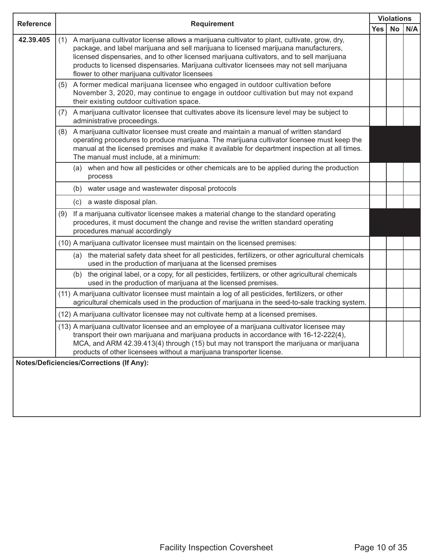| <b>Reference</b> | <b>Requirement</b>                                                                                                                                                                                                                                                                                                                                                                                                                     |  | <b>Violations</b> |     |  |
|------------------|----------------------------------------------------------------------------------------------------------------------------------------------------------------------------------------------------------------------------------------------------------------------------------------------------------------------------------------------------------------------------------------------------------------------------------------|--|-------------------|-----|--|
|                  |                                                                                                                                                                                                                                                                                                                                                                                                                                        |  | <b>No</b>         | N/A |  |
| 42.39.405        | A marijuana cultivator license allows a marijuana cultivator to plant, cultivate, grow, dry,<br>(1)<br>package, and label marijuana and sell marijuana to licensed marijuana manufacturers,<br>licensed dispensaries, and to other licensed marijuana cultivators, and to sell marijuana<br>products to licensed dispensaries. Marijuana cultivator licensees may not sell marijuana<br>flower to other marijuana cultivator licensees |  |                   |     |  |
|                  | A former medical marijuana licensee who engaged in outdoor cultivation before<br>(5)<br>November 3, 2020, may continue to engage in outdoor cultivation but may not expand<br>their existing outdoor cultivation space.                                                                                                                                                                                                                |  |                   |     |  |
|                  | A marijuana cultivator licensee that cultivates above its licensure level may be subject to<br>(7)<br>administrative proceedings.                                                                                                                                                                                                                                                                                                      |  |                   |     |  |
|                  | A marijuana cultivator licensee must create and maintain a manual of written standard<br>(8)<br>operating procedures to produce marijuana. The marijuana cultivator licensee must keep the<br>manual at the licensed premises and make it available for department inspection at all times.<br>The manual must include, at a minimum:                                                                                                  |  |                   |     |  |
|                  | (a) when and how all pesticides or other chemicals are to be applied during the production<br>process                                                                                                                                                                                                                                                                                                                                  |  |                   |     |  |
|                  | (b) water usage and wastewater disposal protocols                                                                                                                                                                                                                                                                                                                                                                                      |  |                   |     |  |
|                  | (c) a waste disposal plan.                                                                                                                                                                                                                                                                                                                                                                                                             |  |                   |     |  |
|                  | If a marijuana cultivator licensee makes a material change to the standard operating<br>(9)<br>procedures, it must document the change and revise the written standard operating<br>procedures manual accordingly                                                                                                                                                                                                                      |  |                   |     |  |
|                  | (10) A marijuana cultivator licensee must maintain on the licensed premises:                                                                                                                                                                                                                                                                                                                                                           |  |                   |     |  |
|                  | the material safety data sheet for all pesticides, fertilizers, or other agricultural chemicals<br>(a)<br>used in the production of marijuana at the licensed premises                                                                                                                                                                                                                                                                 |  |                   |     |  |
|                  | (b) the original label, or a copy, for all pesticides, fertilizers, or other agricultural chemicals<br>used in the production of marijuana at the licensed premises.                                                                                                                                                                                                                                                                   |  |                   |     |  |
|                  | (11) A marijuana cultivator licensee must maintain a log of all pesticides, fertilizers, or other<br>agricultural chemicals used in the production of marijuana in the seed-to-sale tracking system.                                                                                                                                                                                                                                   |  |                   |     |  |
|                  | (12) A marijuana cultivator licensee may not cultivate hemp at a licensed premises.                                                                                                                                                                                                                                                                                                                                                    |  |                   |     |  |
|                  | (13) A marijuana cultivator licensee and an employee of a marijuana cultivator licensee may<br>transport their own marijuana and marijuana products in accordance with 16-12-222(4),<br>MCA, and ARM 42.39.413(4) through (15) but may not transport the marijuana or marijuana<br>products of other licensees without a marijuana transporter license.                                                                                |  |                   |     |  |
|                  | <b>Notes/Deficiencies/Corrections (If Any):</b>                                                                                                                                                                                                                                                                                                                                                                                        |  |                   |     |  |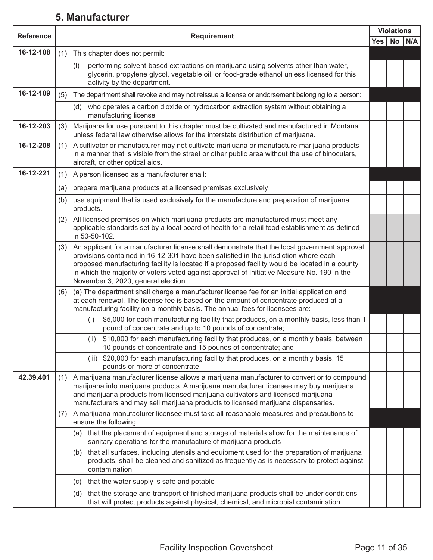#### **5. Manufacturer**

| <b>Reference</b> | <b>Requirement</b> |                                                                                                                                                                                                                                                                                                                                                                                                                             |            | <b>Violations</b> |     |
|------------------|--------------------|-----------------------------------------------------------------------------------------------------------------------------------------------------------------------------------------------------------------------------------------------------------------------------------------------------------------------------------------------------------------------------------------------------------------------------|------------|-------------------|-----|
|                  |                    |                                                                                                                                                                                                                                                                                                                                                                                                                             | <b>Yes</b> | No                | N/A |
| 16-12-108        | (1)                | This chapter does not permit:                                                                                                                                                                                                                                                                                                                                                                                               |            |                   |     |
|                  |                    | performing solvent-based extractions on marijuana using solvents other than water,<br>(1)<br>glycerin, propylene glycol, vegetable oil, or food-grade ethanol unless licensed for this<br>activity by the department.                                                                                                                                                                                                       |            |                   |     |
| 16-12-109        | (5)                | The department shall revoke and may not reissue a license or endorsement belonging to a person:                                                                                                                                                                                                                                                                                                                             |            |                   |     |
|                  |                    | who operates a carbon dioxide or hydrocarbon extraction system without obtaining a<br>(d)<br>manufacturing license                                                                                                                                                                                                                                                                                                          |            |                   |     |
| 16-12-203        | (3)                | Marijuana for use pursuant to this chapter must be cultivated and manufactured in Montana<br>unless federal law otherwise allows for the interstate distribution of marijuana.                                                                                                                                                                                                                                              |            |                   |     |
| 16-12-208        | (1)                | A cultivator or manufacturer may not cultivate marijuana or manufacture marijuana products<br>in a manner that is visible from the street or other public area without the use of binoculars,<br>aircraft, or other optical aids.                                                                                                                                                                                           |            |                   |     |
| 16-12-221        | (1)                | A person licensed as a manufacturer shall:                                                                                                                                                                                                                                                                                                                                                                                  |            |                   |     |
|                  | (a)                | prepare marijuana products at a licensed premises exclusively                                                                                                                                                                                                                                                                                                                                                               |            |                   |     |
|                  | (b)                | use equipment that is used exclusively for the manufacture and preparation of marijuana<br>products.                                                                                                                                                                                                                                                                                                                        |            |                   |     |
|                  | (2)                | All licensed premises on which marijuana products are manufactured must meet any<br>applicable standards set by a local board of health for a retail food establishment as defined<br>in 50-50-102.                                                                                                                                                                                                                         |            |                   |     |
|                  | (3)                | An applicant for a manufacturer license shall demonstrate that the local government approval<br>provisions contained in 16-12-301 have been satisfied in the jurisdiction where each<br>proposed manufacturing facility is located if a proposed facility would be located in a county<br>in which the majority of voters voted against approval of Initiative Measure No. 190 in the<br>November 3, 2020, general election |            |                   |     |
|                  | (6)                | (a) The department shall charge a manufacturer license fee for an initial application and<br>at each renewal. The license fee is based on the amount of concentrate produced at a<br>manufacturing facility on a monthly basis. The annual fees for licensees are:                                                                                                                                                          |            |                   |     |
|                  |                    | \$5,000 for each manufacturing facility that produces, on a monthly basis, less than 1<br>(i)<br>pound of concentrate and up to 10 pounds of concentrate;                                                                                                                                                                                                                                                                   |            |                   |     |
|                  |                    | \$10,000 for each manufacturing facility that produces, on a monthly basis, between<br>(ii)<br>10 pounds of concentrate and 15 pounds of concentrate; and                                                                                                                                                                                                                                                                   |            |                   |     |
|                  |                    | \$20,000 for each manufacturing facility that produces, on a monthly basis, 15<br>(iii)<br>pounds or more of concentrate.                                                                                                                                                                                                                                                                                                   |            |                   |     |
| 42.39.401        | (1)                | A marijuana manufacturer license allows a marijuana manufacturer to convert or to compound<br>marijuana into marijuana products. A marijuana manufacturer licensee may buy marijuana<br>and marijuana products from licensed marijuana cultivators and licensed marijuana<br>manufacturers and may sell marijuana products to licensed marijuana dispensaries.                                                              |            |                   |     |
|                  | (7)                | A marijuana manufacturer licensee must take all reasonable measures and precautions to<br>ensure the following:                                                                                                                                                                                                                                                                                                             |            |                   |     |
|                  |                    | that the placement of equipment and storage of materials allow for the maintenance of<br>(a)<br>sanitary operations for the manufacture of marijuana products                                                                                                                                                                                                                                                               |            |                   |     |
|                  |                    | that all surfaces, including utensils and equipment used for the preparation of marijuana<br>(b)<br>products, shall be cleaned and sanitized as frequently as is necessary to protect against<br>contamination                                                                                                                                                                                                              |            |                   |     |
|                  |                    | that the water supply is safe and potable<br>(c)                                                                                                                                                                                                                                                                                                                                                                            |            |                   |     |
|                  |                    | that the storage and transport of finished marijuana products shall be under conditions<br>(d)<br>that will protect products against physical, chemical, and microbial contamination.                                                                                                                                                                                                                                       |            |                   |     |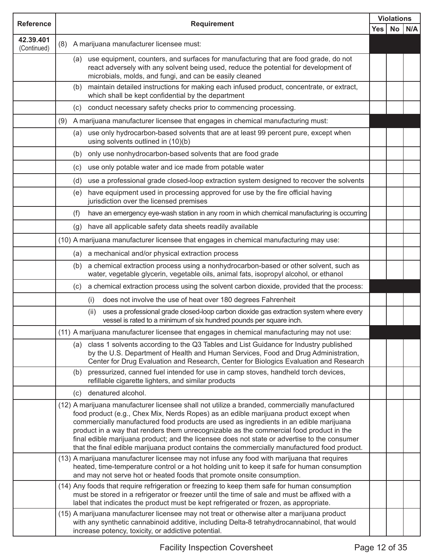| <b>Reference</b>         | <b>Requirement</b> |                                                                                                                                                                                                                                                                                                                                                                                                                                                                                                                                                                             | <b>Violations</b> |            |  |
|--------------------------|--------------------|-----------------------------------------------------------------------------------------------------------------------------------------------------------------------------------------------------------------------------------------------------------------------------------------------------------------------------------------------------------------------------------------------------------------------------------------------------------------------------------------------------------------------------------------------------------------------------|-------------------|------------|--|
|                          |                    | Yes                                                                                                                                                                                                                                                                                                                                                                                                                                                                                                                                                                         |                   | $No$ $N/A$ |  |
| 42.39.401<br>(Continued) | (8)                | A marijuana manufacturer licensee must:                                                                                                                                                                                                                                                                                                                                                                                                                                                                                                                                     |                   |            |  |
|                          |                    | (a) use equipment, counters, and surfaces for manufacturing that are food grade, do not<br>react adversely with any solvent being used, reduce the potential for development of<br>microbials, molds, and fungi, and can be easily cleaned                                                                                                                                                                                                                                                                                                                                  |                   |            |  |
|                          | (b)                | maintain detailed instructions for making each infused product, concentrate, or extract,<br>which shall be kept confidential by the department                                                                                                                                                                                                                                                                                                                                                                                                                              |                   |            |  |
|                          | (c)                | conduct necessary safety checks prior to commencing processing.                                                                                                                                                                                                                                                                                                                                                                                                                                                                                                             |                   |            |  |
|                          | (9)                | A marijuana manufacturer licensee that engages in chemical manufacturing must:                                                                                                                                                                                                                                                                                                                                                                                                                                                                                              |                   |            |  |
|                          | (a)                | use only hydrocarbon-based solvents that are at least 99 percent pure, except when<br>using solvents outlined in (10)(b)                                                                                                                                                                                                                                                                                                                                                                                                                                                    |                   |            |  |
|                          | (b)                | only use nonhydrocarbon-based solvents that are food grade                                                                                                                                                                                                                                                                                                                                                                                                                                                                                                                  |                   |            |  |
|                          | (c)                | use only potable water and ice made from potable water                                                                                                                                                                                                                                                                                                                                                                                                                                                                                                                      |                   |            |  |
|                          | (d)                | use a professional grade closed-loop extraction system designed to recover the solvents                                                                                                                                                                                                                                                                                                                                                                                                                                                                                     |                   |            |  |
|                          | (e)                | have equipment used in processing approved for use by the fire official having<br>jurisdiction over the licensed premises                                                                                                                                                                                                                                                                                                                                                                                                                                                   |                   |            |  |
|                          | (f)                | have an emergency eye-wash station in any room in which chemical manufacturing is occurring                                                                                                                                                                                                                                                                                                                                                                                                                                                                                 |                   |            |  |
|                          |                    | (g) have all applicable safety data sheets readily available                                                                                                                                                                                                                                                                                                                                                                                                                                                                                                                |                   |            |  |
|                          |                    | (10) A marijuana manufacturer licensee that engages in chemical manufacturing may use:                                                                                                                                                                                                                                                                                                                                                                                                                                                                                      |                   |            |  |
|                          |                    | (a) a mechanical and/or physical extraction process                                                                                                                                                                                                                                                                                                                                                                                                                                                                                                                         |                   |            |  |
|                          | (b)                | a chemical extraction process using a nonhydrocarbon-based or other solvent, such as<br>water, vegetable glycerin, vegetable oils, animal fats, isopropyl alcohol, or ethanol                                                                                                                                                                                                                                                                                                                                                                                               |                   |            |  |
|                          | (C) =              | a chemical extraction process using the solvent carbon dioxide, provided that the process:                                                                                                                                                                                                                                                                                                                                                                                                                                                                                  |                   |            |  |
|                          |                    | does not involve the use of heat over 180 degrees Fahrenheit<br>(i)                                                                                                                                                                                                                                                                                                                                                                                                                                                                                                         |                   |            |  |
|                          |                    | uses a professional grade closed-loop carbon dioxide gas extraction system where every<br>(ii)<br>vessel is rated to a minimum of six hundred pounds per square inch.                                                                                                                                                                                                                                                                                                                                                                                                       |                   |            |  |
|                          |                    | (11) A marijuana manufacturer licensee that engages in chemical manufacturing may not use:                                                                                                                                                                                                                                                                                                                                                                                                                                                                                  |                   |            |  |
|                          | (a)                | class 1 solvents according to the Q3 Tables and List Guidance for Industry published<br>by the U.S. Department of Health and Human Services, Food and Drug Administration,<br>Center for Drug Evaluation and Research, Center for Biologics Evaluation and Research                                                                                                                                                                                                                                                                                                         |                   |            |  |
|                          | (b)                | pressurized, canned fuel intended for use in camp stoves, handheld torch devices,<br>refillable cigarette lighters, and similar products                                                                                                                                                                                                                                                                                                                                                                                                                                    |                   |            |  |
|                          | (c)                | denatured alcohol.                                                                                                                                                                                                                                                                                                                                                                                                                                                                                                                                                          |                   |            |  |
|                          |                    | (12) A marijuana manufacturer licensee shall not utilize a branded, commercially manufactured<br>food product (e.g., Chex Mix, Nerds Ropes) as an edible marijuana product except when<br>commercially manufactured food products are used as ingredients in an edible marijuana<br>product in a way that renders them unrecognizable as the commercial food product in the<br>final edible marijuana product; and the licensee does not state or advertise to the consumer<br>that the final edible marijuana product contains the commercially manufactured food product. |                   |            |  |
|                          |                    | (13) A marijuana manufacturer licensee may not infuse any food with marijuana that requires<br>heated, time-temperature control or a hot holding unit to keep it safe for human consumption<br>and may not serve hot or heated foods that promote onsite consumption.                                                                                                                                                                                                                                                                                                       |                   |            |  |
|                          |                    | (14) Any foods that require refrigeration or freezing to keep them safe for human consumption<br>must be stored in a refrigerator or freezer until the time of sale and must be affixed with a<br>label that indicates the product must be kept refrigerated or frozen, as appropriate.                                                                                                                                                                                                                                                                                     |                   |            |  |
|                          |                    | (15) A marijuana manufacturer licensee may not treat or otherwise alter a marijuana product<br>with any synthetic cannabinoid additive, including Delta-8 tetrahydrocannabinol, that would<br>increase potency, toxicity, or addictive potential.                                                                                                                                                                                                                                                                                                                           |                   |            |  |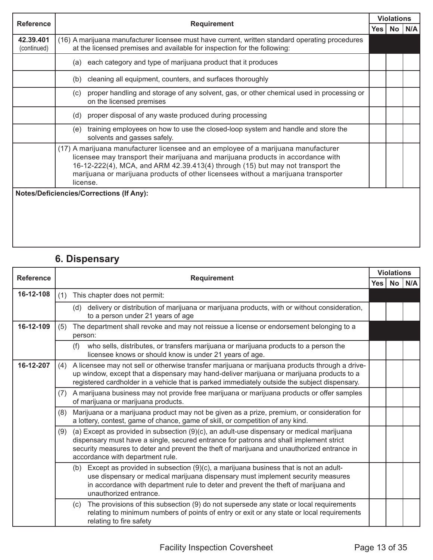| <b>Reference</b>         |                                                                                                                                                                                                                                                                                                                                                            | <b>Violations</b> |  |  |  |
|--------------------------|------------------------------------------------------------------------------------------------------------------------------------------------------------------------------------------------------------------------------------------------------------------------------------------------------------------------------------------------------------|-------------------|--|--|--|
|                          | <b>Requirement</b>                                                                                                                                                                                                                                                                                                                                         |                   |  |  |  |
| 42.39.401<br>(continued) | (16) A marijuana manufacturer licensee must have current, written standard operating procedures<br>at the licensed premises and available for inspection for the following:                                                                                                                                                                                |                   |  |  |  |
|                          | each category and type of marijuana product that it produces<br>(a)                                                                                                                                                                                                                                                                                        |                   |  |  |  |
|                          | cleaning all equipment, counters, and surfaces thoroughly<br>(b)                                                                                                                                                                                                                                                                                           |                   |  |  |  |
|                          | proper handling and storage of any solvent, gas, or other chemical used in processing or<br>(c)<br>on the licensed premises                                                                                                                                                                                                                                |                   |  |  |  |
|                          | proper disposal of any waste produced during processing<br>(d)                                                                                                                                                                                                                                                                                             |                   |  |  |  |
|                          | training employees on how to use the closed-loop system and handle and store the<br>(e)<br>solvents and gasses safely.                                                                                                                                                                                                                                     |                   |  |  |  |
|                          | (17) A marijuana manufacturer licensee and an employee of a marijuana manufacturer<br>licensee may transport their marijuana and marijuana products in accordance with<br>16-12-222(4), MCA, and ARM 42.39.413(4) through (15) but may not transport the<br>marijuana or marijuana products of other licensees without a marijuana transporter<br>license. |                   |  |  |  |
|                          | <b>Notes/Deficiencies/Corrections (If Any):</b>                                                                                                                                                                                                                                                                                                            |                   |  |  |  |

## **6. Dispensary**

| <b>Reference</b> | <b>Requirement</b> | <b>Violations</b>                                                                                                                                                                                                                                                                                                     |     |    |     |
|------------------|--------------------|-----------------------------------------------------------------------------------------------------------------------------------------------------------------------------------------------------------------------------------------------------------------------------------------------------------------------|-----|----|-----|
|                  |                    |                                                                                                                                                                                                                                                                                                                       | Yes | No | N/A |
| 16-12-108        | (1)                | This chapter does not permit:                                                                                                                                                                                                                                                                                         |     |    |     |
|                  |                    | (d) delivery or distribution of marijuana or marijuana products, with or without consideration,<br>to a person under 21 years of age                                                                                                                                                                                  |     |    |     |
| 16-12-109        | (5)                | The department shall revoke and may not reissue a license or endorsement belonging to a<br>person:                                                                                                                                                                                                                    |     |    |     |
|                  |                    | who sells, distributes, or transfers marijuana or marijuana products to a person the<br>(f)<br>licensee knows or should know is under 21 years of age.                                                                                                                                                                |     |    |     |
| 16-12-207        |                    | (4) A licensee may not sell or otherwise transfer marijuana or marijuana products through a drive-<br>up window, except that a dispensary may hand-deliver marijuana or marijuana products to a<br>registered cardholder in a vehicle that is parked immediately outside the subject dispensary.                      |     |    |     |
|                  | (7)                | A marijuana business may not provide free marijuana or marijuana products or offer samples<br>of marijuana or marijuana products.                                                                                                                                                                                     |     |    |     |
|                  | (8)                | Marijuana or a marijuana product may not be given as a prize, premium, or consideration for<br>a lottery, contest, game of chance, game of skill, or competition of any kind.                                                                                                                                         |     |    |     |
|                  | (9)                | (a) Except as provided in subsection (9)(c), an adult-use dispensary or medical marijuana<br>dispensary must have a single, secured entrance for patrons and shall implement strict<br>security measures to deter and prevent the theft of marijuana and unauthorized entrance in<br>accordance with department rule. |     |    |     |
|                  |                    | (b) Except as provided in subsection (9)(c), a marijuana business that is not an adult-<br>use dispensary or medical marijuana dispensary must implement security measures<br>in accordance with department rule to deter and prevent the theft of marijuana and<br>unauthorized entrance.                            |     |    |     |
|                  |                    | The provisions of this subsection (9) do not supersede any state or local requirements<br>(c)<br>relating to minimum numbers of points of entry or exit or any state or local requirements<br>relating to fire safety                                                                                                 |     |    |     |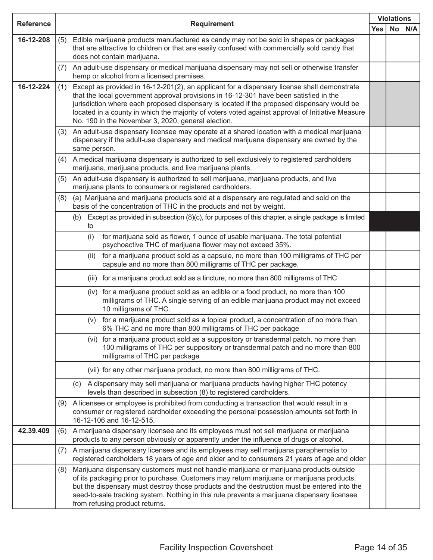| <b>Reference</b> |                                       |                                                                                                                                                                                                                                                                                                                                                                                                                                              | <b>Violations</b> |           |     |
|------------------|---------------------------------------|----------------------------------------------------------------------------------------------------------------------------------------------------------------------------------------------------------------------------------------------------------------------------------------------------------------------------------------------------------------------------------------------------------------------------------------------|-------------------|-----------|-----|
|                  |                                       | <b>Requirement</b>                                                                                                                                                                                                                                                                                                                                                                                                                           | <b>Yes</b>        | <b>No</b> | N/A |
| 16-12-208        | (5)<br>does not contain marijuana.    | Edible marijuana products manufactured as candy may not be sold in shapes or packages<br>that are attractive to children or that are easily confused with commercially sold candy that                                                                                                                                                                                                                                                       |                   |           |     |
|                  | (7)                                   | An adult-use dispensary or medical marijuana dispensary may not sell or otherwise transfer<br>hemp or alcohol from a licensed premises.                                                                                                                                                                                                                                                                                                      |                   |           |     |
| 16-12-224        | (1)                                   | Except as provided in 16-12-201(2), an applicant for a dispensary license shall demonstrate<br>that the local government approval provisions in 16-12-301 have been satisfied in the<br>jurisdiction where each proposed dispensary is located if the proposed dispensary would be<br>located in a county in which the majority of voters voted against approval of Initiative Measure<br>No. 190 in the November 3, 2020, general election. |                   |           |     |
|                  | (3)<br>same person.                   | An adult-use dispensary licensee may operate at a shared location with a medical marijuana<br>dispensary if the adult-use dispensary and medical marijuana dispensary are owned by the                                                                                                                                                                                                                                                       |                   |           |     |
|                  | (4)                                   | A medical marijuana dispensary is authorized to sell exclusively to registered cardholders<br>marijuana, marijuana products, and live marijuana plants.                                                                                                                                                                                                                                                                                      |                   |           |     |
|                  | (5)                                   | An adult-use dispensary is authorized to sell marijuana, marijuana products, and live<br>marijuana plants to consumers or registered cardholders.                                                                                                                                                                                                                                                                                            |                   |           |     |
|                  | (8)                                   | (a) Marijuana and marijuana products sold at a dispensary are regulated and sold on the<br>basis of the concentration of THC in the products and not by weight.                                                                                                                                                                                                                                                                              |                   |           |     |
|                  | (b)<br>to                             | Except as provided in subsection (8)(c), for purposes of this chapter, a single package is limited                                                                                                                                                                                                                                                                                                                                           |                   |           |     |
|                  | (i)                                   | for marijuana sold as flower, 1 ounce of usable marijuana. The total potential<br>psychoactive THC of marijuana flower may not exceed 35%.                                                                                                                                                                                                                                                                                                   |                   |           |     |
|                  | (ii)                                  | for a marijuana product sold as a capsule, no more than 100 milligrams of THC per<br>capsule and no more than 800 milligrams of THC per package.                                                                                                                                                                                                                                                                                             |                   |           |     |
|                  |                                       | (iii) for a marijuana product sold as a tincture, no more than 800 milligrams of THC                                                                                                                                                                                                                                                                                                                                                         |                   |           |     |
|                  |                                       | (iv) for a marijuana product sold as an edible or a food product, no more than 100<br>milligrams of THC. A single serving of an edible marijuana product may not exceed<br>10 milligrams of THC.                                                                                                                                                                                                                                             |                   |           |     |
|                  | (v)                                   | for a marijuana product sold as a topical product, a concentration of no more than<br>6% THC and no more than 800 milligrams of THC per package                                                                                                                                                                                                                                                                                              |                   |           |     |
|                  |                                       | (vi) for a marijuana product sold as a suppository or transdermal patch, no more than<br>100 milligrams of THC per suppository or transdermal patch and no more than 800<br>milligrams of THC per package                                                                                                                                                                                                                                    |                   |           |     |
|                  |                                       | (vii) for any other marijuana product, no more than 800 milligrams of THC.                                                                                                                                                                                                                                                                                                                                                                   |                   |           |     |
|                  |                                       | (c) A dispensary may sell marijuana or marijuana products having higher THC potency<br>levels than described in subsection (8) to registered cardholders.                                                                                                                                                                                                                                                                                    |                   |           |     |
|                  | (9)<br>16-12-106 and 16-12-515.       | A licensee or employee is prohibited from conducting a transaction that would result in a<br>consumer or registered cardholder exceeding the personal possession amounts set forth in                                                                                                                                                                                                                                                        |                   |           |     |
| 42.39.409        | (6)                                   | A marijuana dispensary licensee and its employees must not sell marijuana or marijuana<br>products to any person obviously or apparently under the influence of drugs or alcohol.                                                                                                                                                                                                                                                            |                   |           |     |
|                  | (7)                                   | A marijuana dispensary licensee and its employees may sell marijuana paraphernalia to<br>registered cardholders 18 years of age and older and to consumers 21 years of age and older                                                                                                                                                                                                                                                         |                   |           |     |
|                  | (8)<br>from refusing product returns. | Marijuana dispensary customers must not handle marijuana or marijuana products outside<br>of its packaging prior to purchase. Customers may return marijuana or marijuana products,<br>but the dispensary must destroy those products and the destruction must be entered into the<br>seed-to-sale tracking system. Nothing in this rule prevents a marijuana dispensary licensee                                                            |                   |           |     |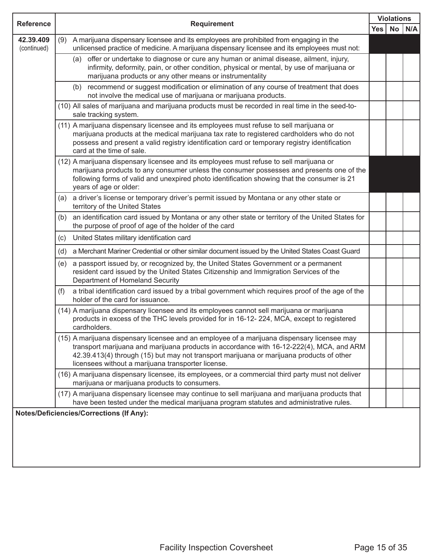| <b>Reference</b>         |                                                                                                                                                                                                                                                                                                                                           |     | <b>Violations</b> |     |  |
|--------------------------|-------------------------------------------------------------------------------------------------------------------------------------------------------------------------------------------------------------------------------------------------------------------------------------------------------------------------------------------|-----|-------------------|-----|--|
|                          | <b>Requirement</b>                                                                                                                                                                                                                                                                                                                        | Yes | No                | N/A |  |
| 42.39.409<br>(continued) | (9) A marijuana dispensary licensee and its employees are prohibited from engaging in the<br>unlicensed practice of medicine. A marijuana dispensary licensee and its employees must not:                                                                                                                                                 |     |                   |     |  |
|                          | (a) offer or undertake to diagnose or cure any human or animal disease, ailment, injury,<br>infirmity, deformity, pain, or other condition, physical or mental, by use of marijuana or<br>marijuana products or any other means or instrumentality                                                                                        |     |                   |     |  |
|                          | (b) recommend or suggest modification or elimination of any course of treatment that does<br>not involve the medical use of marijuana or marijuana products.                                                                                                                                                                              |     |                   |     |  |
|                          | (10) All sales of marijuana and marijuana products must be recorded in real time in the seed-to-<br>sale tracking system.                                                                                                                                                                                                                 |     |                   |     |  |
|                          | (11) A marijuana dispensary licensee and its employees must refuse to sell marijuana or<br>marijuana products at the medical marijuana tax rate to registered cardholders who do not<br>possess and present a valid registry identification card or temporary registry identification<br>card at the time of sale.                        |     |                   |     |  |
|                          | (12) A marijuana dispensary licensee and its employees must refuse to sell marijuana or<br>marijuana products to any consumer unless the consumer possesses and presents one of the<br>following forms of valid and unexpired photo identification showing that the consumer is 21<br>years of age or older:                              |     |                   |     |  |
|                          | a driver's license or temporary driver's permit issued by Montana or any other state or<br>(a)<br>territory of the United States                                                                                                                                                                                                          |     |                   |     |  |
|                          | an identification card issued by Montana or any other state or territory of the United States for<br>(b)<br>the purpose of proof of age of the holder of the card                                                                                                                                                                         |     |                   |     |  |
|                          | United States military identification card<br>(c)                                                                                                                                                                                                                                                                                         |     |                   |     |  |
|                          | (d) a Merchant Mariner Credential or other similar document issued by the United States Coast Guard                                                                                                                                                                                                                                       |     |                   |     |  |
|                          | a passport issued by, or recognized by, the United States Government or a permanent<br>(e)<br>resident card issued by the United States Citizenship and Immigration Services of the<br>Department of Homeland Security                                                                                                                    |     |                   |     |  |
|                          | a tribal identification card issued by a tribal government which requires proof of the age of the<br>(f)<br>holder of the card for issuance.                                                                                                                                                                                              |     |                   |     |  |
|                          | (14) A marijuana dispensary licensee and its employees cannot sell marijuana or marijuana<br>products in excess of the THC levels provided for in 16-12-224, MCA, except to registered<br>cardholders.                                                                                                                                    |     |                   |     |  |
|                          | (15) A marijuana dispensary licensee and an employee of a marijuana dispensary licensee may<br>transport marijuana and marijuana products in accordance with 16-12-222(4), MCA, and ARM<br>42.39.413(4) through (15) but may not transport marijuana or marijuana products of other<br>licensees without a marijuana transporter license. |     |                   |     |  |
|                          | (16) A marijuana dispensary licensee, its employees, or a commercial third party must not deliver<br>marijuana or marijuana products to consumers.                                                                                                                                                                                        |     |                   |     |  |
|                          | (17) A marijuana dispensary licensee may continue to sell marijuana and marijuana products that<br>have been tested under the medical marijuana program statutes and administrative rules.                                                                                                                                                |     |                   |     |  |
|                          | <b>Notes/Deficiencies/Corrections (If Any):</b>                                                                                                                                                                                                                                                                                           |     |                   |     |  |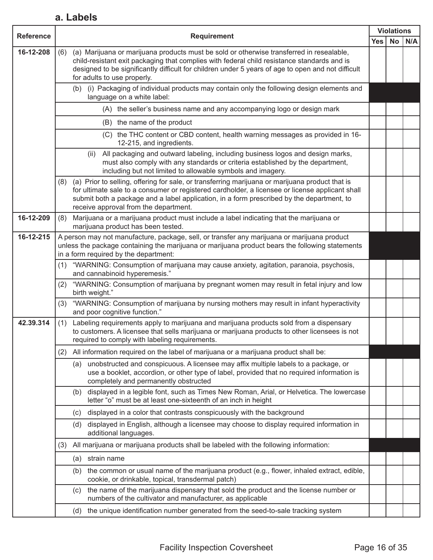#### **a. Labels**

| <b>Reference</b> |                                                                                                                                                                                                                                                                                                                                                 |            |           | <b>Violations</b> |
|------------------|-------------------------------------------------------------------------------------------------------------------------------------------------------------------------------------------------------------------------------------------------------------------------------------------------------------------------------------------------|------------|-----------|-------------------|
|                  | <b>Requirement</b>                                                                                                                                                                                                                                                                                                                              | <b>Yes</b> | <b>No</b> | N/A               |
| 16-12-208        | (a) Marijuana or marijuana products must be sold or otherwise transferred in resealable,<br>(6)<br>child-resistant exit packaging that complies with federal child resistance standards and is<br>designed to be significantly difficult for children under 5 years of age to open and not difficult<br>for adults to use properly.             |            |           |                   |
|                  | (i) Packaging of individual products may contain only the following design elements and<br>(b)<br>language on a white label:                                                                                                                                                                                                                    |            |           |                   |
|                  | (A) the seller's business name and any accompanying logo or design mark                                                                                                                                                                                                                                                                         |            |           |                   |
|                  | (B) the name of the product                                                                                                                                                                                                                                                                                                                     |            |           |                   |
|                  | (C) the THC content or CBD content, health warning messages as provided in 16-<br>12-215, and ingredients.                                                                                                                                                                                                                                      |            |           |                   |
|                  | All packaging and outward labeling, including business logos and design marks,<br>(ii)<br>must also comply with any standards or criteria established by the department,<br>including but not limited to allowable symbols and imagery.                                                                                                         |            |           |                   |
|                  | (a) Prior to selling, offering for sale, or transferring marijuana or marijuana product that is<br>(8)<br>for ultimate sale to a consumer or registered cardholder, a licensee or license applicant shall<br>submit both a package and a label application, in a form prescribed by the department, to<br>receive approval from the department. |            |           |                   |
| 16-12-209        | Marijuana or a marijuana product must include a label indicating that the marijuana or<br>(8)<br>marijuana product has been tested.                                                                                                                                                                                                             |            |           |                   |
| 16-12-215        | A person may not manufacture, package, sell, or transfer any marijuana or marijuana product<br>unless the package containing the marijuana or marijuana product bears the following statements<br>in a form required by the department:                                                                                                         |            |           |                   |
|                  | "WARNING: Consumption of marijuana may cause anxiety, agitation, paranoia, psychosis,<br>(1)<br>and cannabinoid hyperemesis."                                                                                                                                                                                                                   |            |           |                   |
|                  | "WARNING: Consumption of marijuana by pregnant women may result in fetal injury and low<br>(2)<br>birth weight."                                                                                                                                                                                                                                |            |           |                   |
|                  | "WARNING: Consumption of marijuana by nursing mothers may result in infant hyperactivity<br>(3)<br>and poor cognitive function."                                                                                                                                                                                                                |            |           |                   |
| 42.39.314        | Labeling requirements apply to marijuana and marijuana products sold from a dispensary<br>(1)<br>to customers. A licensee that sells marijuana or marijuana products to other licensees is not<br>required to comply with labeling requirements.                                                                                                |            |           |                   |
|                  | All information required on the label of marijuana or a marijuana product shall be:<br>(2)                                                                                                                                                                                                                                                      |            |           |                   |
|                  | unobstructed and conspicuous. A licensee may affix multiple labels to a package, or<br>(a)<br>use a booklet, accordion, or other type of label, provided that no required information is<br>completely and permanently obstructed                                                                                                               |            |           |                   |
|                  | displayed in a legible font, such as Times New Roman, Arial, or Helvetica. The lowercase<br>(b)<br>letter "o" must be at least one-sixteenth of an inch in height                                                                                                                                                                               |            |           |                   |
|                  | displayed in a color that contrasts conspicuously with the background<br>(c)                                                                                                                                                                                                                                                                    |            |           |                   |
|                  | displayed in English, although a licensee may choose to display required information in<br>(d)<br>additional languages.                                                                                                                                                                                                                         |            |           |                   |
|                  | All marijuana or marijuana products shall be labeled with the following information:<br>(3)                                                                                                                                                                                                                                                     |            |           |                   |
|                  | strain name<br>(a)                                                                                                                                                                                                                                                                                                                              |            |           |                   |
|                  | the common or usual name of the marijuana product (e.g., flower, inhaled extract, edible,<br>(b)<br>cookie, or drinkable, topical, transdermal patch)                                                                                                                                                                                           |            |           |                   |
|                  | the name of the marijuana dispensary that sold the product and the license number or<br>(c)<br>numbers of the cultivator and manufacturer, as applicable                                                                                                                                                                                        |            |           |                   |
|                  | (d) the unique identification number generated from the seed-to-sale tracking system                                                                                                                                                                                                                                                            |            |           |                   |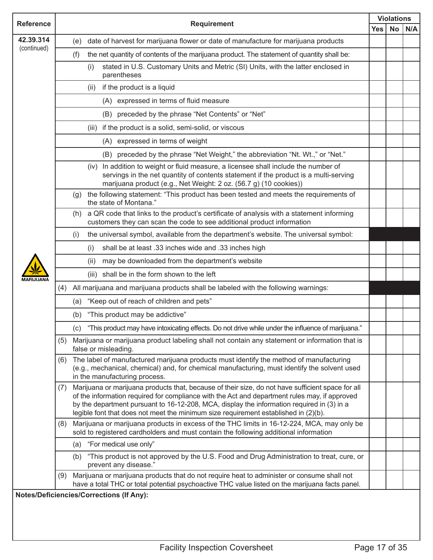| <b>Reference</b><br>42.39.314 | <b>Requirement</b>                                                                                                                                                                                                                                                                                                                                                                             |            | <b>Violations</b> |     |  |
|-------------------------------|------------------------------------------------------------------------------------------------------------------------------------------------------------------------------------------------------------------------------------------------------------------------------------------------------------------------------------------------------------------------------------------------|------------|-------------------|-----|--|
|                               |                                                                                                                                                                                                                                                                                                                                                                                                | <b>Yes</b> | <b>No</b>         | N/A |  |
| (continued)                   | date of harvest for marijuana flower or date of manufacture for marijuana products<br>(e)                                                                                                                                                                                                                                                                                                      |            |                   |     |  |
|                               | the net quantity of contents of the marijuana product. The statement of quantity shall be:<br>(f)                                                                                                                                                                                                                                                                                              |            |                   |     |  |
|                               | stated in U.S. Customary Units and Metric (SI) Units, with the latter enclosed in<br>(i)<br>parentheses                                                                                                                                                                                                                                                                                        |            |                   |     |  |
|                               | if the product is a liquid<br>(ii)                                                                                                                                                                                                                                                                                                                                                             |            |                   |     |  |
|                               | (A) expressed in terms of fluid measure                                                                                                                                                                                                                                                                                                                                                        |            |                   |     |  |
|                               | (B) preceded by the phrase "Net Contents" or "Net"                                                                                                                                                                                                                                                                                                                                             |            |                   |     |  |
|                               | if the product is a solid, semi-solid, or viscous<br>(iii)                                                                                                                                                                                                                                                                                                                                     |            |                   |     |  |
|                               | (A) expressed in terms of weight                                                                                                                                                                                                                                                                                                                                                               |            |                   |     |  |
|                               | preceded by the phrase "Net Weight," the abbreviation "Nt. Wt.," or "Net."<br>(B)                                                                                                                                                                                                                                                                                                              |            |                   |     |  |
|                               | In addition to weight or fluid measure, a licensee shall include the number of<br>(iv)<br>servings in the net quantity of contents statement if the product is a multi-serving<br>marijuana product (e.g., Net Weight: 2 oz. (56.7 g) (10 cookies))                                                                                                                                            |            |                   |     |  |
|                               | the following statement: "This product has been tested and meets the requirements of<br>(g)<br>the state of Montana."                                                                                                                                                                                                                                                                          |            |                   |     |  |
|                               | a QR code that links to the product's certificate of analysis with a statement informing<br>(h)<br>customers they can scan the code to see additional product information                                                                                                                                                                                                                      |            |                   |     |  |
|                               | the universal symbol, available from the department's website. The universal symbol:<br>(i)                                                                                                                                                                                                                                                                                                    |            |                   |     |  |
|                               | shall be at least .33 inches wide and .33 inches high<br>(i)                                                                                                                                                                                                                                                                                                                                   |            |                   |     |  |
|                               | may be downloaded from the department's website<br>(ii)                                                                                                                                                                                                                                                                                                                                        |            |                   |     |  |
|                               | (iii) shall be in the form shown to the left                                                                                                                                                                                                                                                                                                                                                   |            |                   |     |  |
|                               | All marijuana and marijuana products shall be labeled with the following warnings:<br>(4)                                                                                                                                                                                                                                                                                                      |            |                   |     |  |
|                               | (a) "Keep out of reach of children and pets"                                                                                                                                                                                                                                                                                                                                                   |            |                   |     |  |
|                               | "This product may be addictive"<br>(b)                                                                                                                                                                                                                                                                                                                                                         |            |                   |     |  |
|                               | (c) "This product may have intoxicating effects. Do not drive while under the influence of marijuana."                                                                                                                                                                                                                                                                                         |            |                   |     |  |
|                               | Marijuana or marijuana product labeling shall not contain any statement or information that is<br>(5)<br>false or misleading.                                                                                                                                                                                                                                                                  |            |                   |     |  |
|                               | The label of manufactured marijuana products must identify the method of manufacturing<br>(6)<br>(e.g., mechanical, chemical) and, for chemical manufacturing, must identify the solvent used<br>in the manufacturing process.                                                                                                                                                                 |            |                   |     |  |
|                               | Marijuana or marijuana products that, because of their size, do not have sufficient space for all<br>(7)<br>of the information required for compliance with the Act and department rules may, if approved<br>by the department pursuant to 16-12-208, MCA, display the information required in (3) in a<br>legible font that does not meet the minimum size requirement established in (2)(b). |            |                   |     |  |
|                               | Marijuana or marijuana products in excess of the THC limits in 16-12-224, MCA, may only be<br>(8)<br>sold to registered cardholders and must contain the following additional information                                                                                                                                                                                                      |            |                   |     |  |
|                               | (a) "For medical use only"                                                                                                                                                                                                                                                                                                                                                                     |            |                   |     |  |
|                               | (b) "This product is not approved by the U.S. Food and Drug Administration to treat, cure, or<br>prevent any disease."                                                                                                                                                                                                                                                                         |            |                   |     |  |
|                               | Marijuana or marijuana products that do not require heat to administer or consume shall not<br>(9)<br>have a total THC or total potential psychoactive THC value listed on the marijuana facts panel.                                                                                                                                                                                          |            |                   |     |  |
|                               | <b>Notes/Deficiencies/Corrections (If Any):</b>                                                                                                                                                                                                                                                                                                                                                |            |                   |     |  |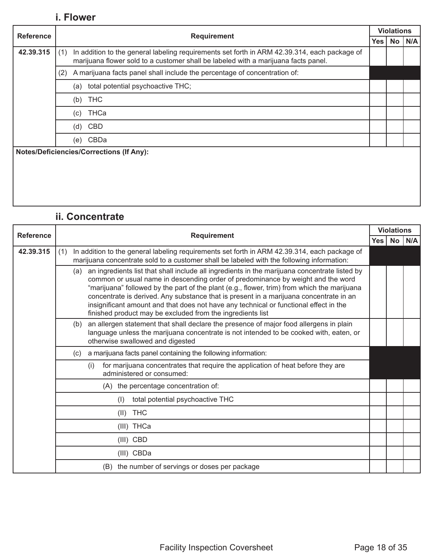#### **i. Flower**

|                  | <b>Requirement</b>                                                                                                                                                                        | <b>Violations</b> |    |     |  |  |  |
|------------------|-------------------------------------------------------------------------------------------------------------------------------------------------------------------------------------------|-------------------|----|-----|--|--|--|
| <b>Reference</b> |                                                                                                                                                                                           | Yes l             | No | N/A |  |  |  |
| 42.39.315        | In addition to the general labeling requirements set forth in ARM 42.39.314, each package of<br>(1)<br>marijuana flower sold to a customer shall be labeled with a marijuana facts panel. |                   |    |     |  |  |  |
|                  | A marijuana facts panel shall include the percentage of concentration of:<br>(2)                                                                                                          |                   |    |     |  |  |  |
|                  | total potential psychoactive THC;<br>(a)                                                                                                                                                  |                   |    |     |  |  |  |
|                  | <b>THC</b><br>(b)                                                                                                                                                                         |                   |    |     |  |  |  |
|                  | THCa<br>(c)                                                                                                                                                                               |                   |    |     |  |  |  |
|                  | CBD<br>(d)                                                                                                                                                                                |                   |    |     |  |  |  |
|                  | CBDa<br>(e)                                                                                                                                                                               |                   |    |     |  |  |  |
|                  | <b>Notes/Deficiencies/Corrections (If Any):</b>                                                                                                                                           |                   |    |     |  |  |  |
|                  |                                                                                                                                                                                           |                   |    |     |  |  |  |
|                  |                                                                                                                                                                                           |                   |    |     |  |  |  |

#### **ii. Concentrate**

| <b>Reference</b> | <b>Requirement</b> | <b>Violations</b>                                                                                                                                                                                                                                                                                                                                                                                                                                                                                                                    |            |    |     |  |
|------------------|--------------------|--------------------------------------------------------------------------------------------------------------------------------------------------------------------------------------------------------------------------------------------------------------------------------------------------------------------------------------------------------------------------------------------------------------------------------------------------------------------------------------------------------------------------------------|------------|----|-----|--|
|                  |                    |                                                                                                                                                                                                                                                                                                                                                                                                                                                                                                                                      | <b>Yes</b> | No | N/A |  |
| 42.39.315        | (1)                | In addition to the general labeling requirements set forth in ARM 42.39.314, each package of<br>marijuana concentrate sold to a customer shall be labeled with the following information:                                                                                                                                                                                                                                                                                                                                            |            |    |     |  |
|                  |                    | (a) an ingredients list that shall include all ingredients in the marijuana concentrate listed by<br>common or usual name in descending order of predominance by weight and the word<br>"marijuana" followed by the part of the plant (e.g., flower, trim) from which the marijuana<br>concentrate is derived. Any substance that is present in a marijuana concentrate in an<br>insignificant amount and that does not have any technical or functional effect in the<br>finished product may be excluded from the ingredients list |            |    |     |  |
|                  |                    | an allergen statement that shall declare the presence of major food allergens in plain<br>(b)<br>language unless the marijuana concentrate is not intended to be cooked with, eaten, or<br>otherwise swallowed and digested                                                                                                                                                                                                                                                                                                          |            |    |     |  |
|                  |                    | a marijuana facts panel containing the following information:<br>(c)                                                                                                                                                                                                                                                                                                                                                                                                                                                                 |            |    |     |  |
|                  |                    | for marijuana concentrates that require the application of heat before they are<br>(i)<br>administered or consumed:                                                                                                                                                                                                                                                                                                                                                                                                                  |            |    |     |  |
|                  |                    | (A) the percentage concentration of:                                                                                                                                                                                                                                                                                                                                                                                                                                                                                                 |            |    |     |  |
|                  |                    | total potential psychoactive THC<br>(1)                                                                                                                                                                                                                                                                                                                                                                                                                                                                                              |            |    |     |  |
|                  |                    | <b>THC</b><br>(11)                                                                                                                                                                                                                                                                                                                                                                                                                                                                                                                   |            |    |     |  |
|                  |                    | (III) THCa                                                                                                                                                                                                                                                                                                                                                                                                                                                                                                                           |            |    |     |  |
|                  |                    | $(III)$ CBD                                                                                                                                                                                                                                                                                                                                                                                                                                                                                                                          |            |    |     |  |
|                  |                    | (III) CBDa                                                                                                                                                                                                                                                                                                                                                                                                                                                                                                                           |            |    |     |  |
|                  |                    | (B) the number of servings or doses per package                                                                                                                                                                                                                                                                                                                                                                                                                                                                                      |            |    |     |  |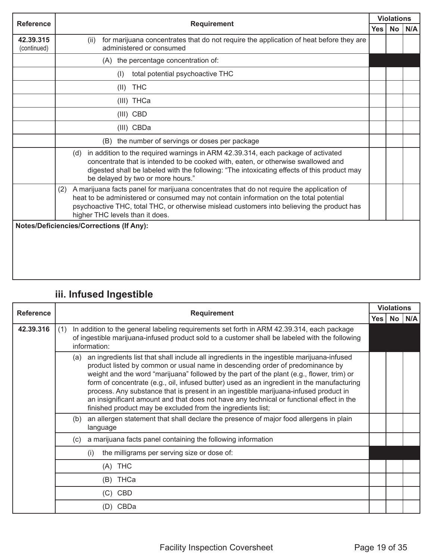| <b>Reference</b>         | <b>Requirement</b>                                                                                                                                                                                                                                                                                                          | <b>Violations</b> |           |     |
|--------------------------|-----------------------------------------------------------------------------------------------------------------------------------------------------------------------------------------------------------------------------------------------------------------------------------------------------------------------------|-------------------|-----------|-----|
|                          |                                                                                                                                                                                                                                                                                                                             | <b>Yes</b>        | <b>No</b> | N/A |
| 42.39.315<br>(continued) | for marijuana concentrates that do not require the application of heat before they are<br>(ii)<br>administered or consumed                                                                                                                                                                                                  |                   |           |     |
|                          | (A) the percentage concentration of:                                                                                                                                                                                                                                                                                        |                   |           |     |
|                          | total potential psychoactive THC<br>(1)                                                                                                                                                                                                                                                                                     |                   |           |     |
|                          | <b>THC</b><br>(II)                                                                                                                                                                                                                                                                                                          |                   |           |     |
|                          | (III) THCa                                                                                                                                                                                                                                                                                                                  |                   |           |     |
|                          | (III) CBD                                                                                                                                                                                                                                                                                                                   |                   |           |     |
|                          | (III) CBDa                                                                                                                                                                                                                                                                                                                  |                   |           |     |
|                          | (B) the number of servings or doses per package                                                                                                                                                                                                                                                                             |                   |           |     |
|                          | in addition to the required warnings in ARM 42.39.314, each package of activated<br>(d)<br>concentrate that is intended to be cooked with, eaten, or otherwise swallowed and<br>digested shall be labeled with the following: "The intoxicating effects of this product may<br>be delayed by two or more hours."            |                   |           |     |
|                          | A marijuana facts panel for marijuana concentrates that do not require the application of<br>(2)<br>heat to be administered or consumed may not contain information on the total potential<br>psychoactive THC, total THC, or otherwise mislead customers into believing the product has<br>higher THC levels than it does. |                   |           |     |
|                          | <b>Notes/Deficiencies/Corrections (If Any):</b>                                                                                                                                                                                                                                                                             |                   |           |     |

## **iii. Infused Ingestible**

| <b>Reference</b> | <b>Requirement</b> | <b>Violations</b>                                                                                                                                                                                                                                                                                                                                                                                                                                                                                                                                                                                                         |      |                 |     |
|------------------|--------------------|---------------------------------------------------------------------------------------------------------------------------------------------------------------------------------------------------------------------------------------------------------------------------------------------------------------------------------------------------------------------------------------------------------------------------------------------------------------------------------------------------------------------------------------------------------------------------------------------------------------------------|------|-----------------|-----|
|                  |                    |                                                                                                                                                                                                                                                                                                                                                                                                                                                                                                                                                                                                                           | Yes. | No <sub>1</sub> | N/A |
| 42.39.316        | (1)                | In addition to the general labeling requirements set forth in ARM 42.39.314, each package<br>of ingestible marijuana-infused product sold to a customer shall be labeled with the following<br>information:                                                                                                                                                                                                                                                                                                                                                                                                               |      |                 |     |
|                  | (a)                | an ingredients list that shall include all ingredients in the ingestible marijuana-infused<br>product listed by common or usual name in descending order of predominance by<br>weight and the word "marijuana" followed by the part of the plant (e.g., flower, trim) or<br>form of concentrate (e.g., oil, infused butter) used as an ingredient in the manufacturing<br>process. Any substance that is present in an ingestible marijuana-infused product in<br>an insignificant amount and that does not have any technical or functional effect in the<br>finished product may be excluded from the ingredients list; |      |                 |     |
|                  | (b)                | an allergen statement that shall declare the presence of major food allergens in plain<br>language                                                                                                                                                                                                                                                                                                                                                                                                                                                                                                                        |      |                 |     |
|                  | (c).               | a marijuana facts panel containing the following information                                                                                                                                                                                                                                                                                                                                                                                                                                                                                                                                                              |      |                 |     |
|                  |                    | the milligrams per serving size or dose of:<br>(i)                                                                                                                                                                                                                                                                                                                                                                                                                                                                                                                                                                        |      |                 |     |
|                  |                    | (A) THC                                                                                                                                                                                                                                                                                                                                                                                                                                                                                                                                                                                                                   |      |                 |     |
|                  |                    | THCa<br>(B)                                                                                                                                                                                                                                                                                                                                                                                                                                                                                                                                                                                                               |      |                 |     |
|                  |                    | $(C)$ CBD                                                                                                                                                                                                                                                                                                                                                                                                                                                                                                                                                                                                                 |      |                 |     |
|                  |                    | CBDa<br>(D)                                                                                                                                                                                                                                                                                                                                                                                                                                                                                                                                                                                                               |      |                 |     |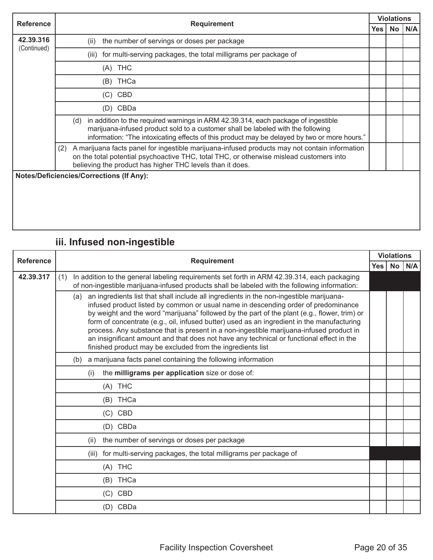| <b>Reference</b> |                                                                                                                                                                                                                                                                              | <b>Violations</b> |                 |     |
|------------------|------------------------------------------------------------------------------------------------------------------------------------------------------------------------------------------------------------------------------------------------------------------------------|-------------------|-----------------|-----|
|                  | <b>Requirement</b>                                                                                                                                                                                                                                                           | <b>Yes</b>        | No <sub>1</sub> | N/A |
| 42.39.316        | the number of servings or doses per package<br>(ii)                                                                                                                                                                                                                          |                   |                 |     |
| (Continued)      | for multi-serving packages, the total milligrams per package of<br>(iii)                                                                                                                                                                                                     |                   |                 |     |
|                  | $(A)$ THC                                                                                                                                                                                                                                                                    |                   |                 |     |
|                  | THCa<br>(B)                                                                                                                                                                                                                                                                  |                   |                 |     |
|                  | CBD<br>(C)                                                                                                                                                                                                                                                                   |                   |                 |     |
|                  | CBDa<br>(D)                                                                                                                                                                                                                                                                  |                   |                 |     |
|                  | in addition to the required warnings in ARM 42.39.314, each package of ingestible<br>(d)<br>marijuana-infused product sold to a customer shall be labeled with the following<br>information: "The intoxicating effects of this product may be delayed by two or more hours." |                   |                 |     |
|                  | A marijuana facts panel for ingestible marijuana-infused products may not contain information<br>(2)<br>on the total potential psychoactive THC, total THC, or otherwise mislead customers into<br>believing the product has higher THC levels than it does.                 |                   |                 |     |
|                  | <b>Notes/Deficiencies/Corrections (If Any):</b>                                                                                                                                                                                                                              |                   |                 |     |

## **iii. Infused non-ingestible**

| <b>Reference</b> | <b>Requirement</b>                                                                                                                                                                                                                                                                                                                                                                                                                                                                                                                                                                                                                      |  | <b>Violations</b> |     |
|------------------|-----------------------------------------------------------------------------------------------------------------------------------------------------------------------------------------------------------------------------------------------------------------------------------------------------------------------------------------------------------------------------------------------------------------------------------------------------------------------------------------------------------------------------------------------------------------------------------------------------------------------------------------|--|-------------------|-----|
|                  | <b>Yes</b>                                                                                                                                                                                                                                                                                                                                                                                                                                                                                                                                                                                                                              |  | No <sub>1</sub>   | N/A |
| 42.39.317        | In addition to the general labeling requirements set forth in ARM 42.39.314, each packaging<br>(1)<br>of non-ingestible marijuana-infused products shall be labeled with the following information:                                                                                                                                                                                                                                                                                                                                                                                                                                     |  |                   |     |
|                  | an ingredients list that shall include all ingredients in the non-ingestible marijuana-<br>(a)<br>infused product listed by common or usual name in descending order of predominance<br>by weight and the word "marijuana" followed by the part of the plant (e.g., flower, trim) or<br>form of concentrate (e.g., oil, infused butter) used as an ingredient in the manufacturing<br>process. Any substance that is present in a non-ingestible marijuana-infused product in<br>an insignificant amount and that does not have any technical or functional effect in the<br>finished product may be excluded from the ingredients list |  |                   |     |
|                  | a marijuana facts panel containing the following information<br>(b)                                                                                                                                                                                                                                                                                                                                                                                                                                                                                                                                                                     |  |                   |     |
|                  | the milligrams per application size or dose of:<br>(i)                                                                                                                                                                                                                                                                                                                                                                                                                                                                                                                                                                                  |  |                   |     |
|                  | (A) THC                                                                                                                                                                                                                                                                                                                                                                                                                                                                                                                                                                                                                                 |  |                   |     |
|                  | (B) THCa                                                                                                                                                                                                                                                                                                                                                                                                                                                                                                                                                                                                                                |  |                   |     |
|                  | $(C)$ CBD                                                                                                                                                                                                                                                                                                                                                                                                                                                                                                                                                                                                                               |  |                   |     |
|                  | (D) CBDa                                                                                                                                                                                                                                                                                                                                                                                                                                                                                                                                                                                                                                |  |                   |     |
|                  | the number of servings or doses per package<br>(ii)                                                                                                                                                                                                                                                                                                                                                                                                                                                                                                                                                                                     |  |                   |     |
|                  | for multi-serving packages, the total milligrams per package of<br>(iii)                                                                                                                                                                                                                                                                                                                                                                                                                                                                                                                                                                |  |                   |     |
|                  | (A) THC                                                                                                                                                                                                                                                                                                                                                                                                                                                                                                                                                                                                                                 |  |                   |     |
|                  | (B) THCa                                                                                                                                                                                                                                                                                                                                                                                                                                                                                                                                                                                                                                |  |                   |     |
|                  | (C) CBD                                                                                                                                                                                                                                                                                                                                                                                                                                                                                                                                                                                                                                 |  |                   |     |
|                  | (D) CBDa                                                                                                                                                                                                                                                                                                                                                                                                                                                                                                                                                                                                                                |  |                   |     |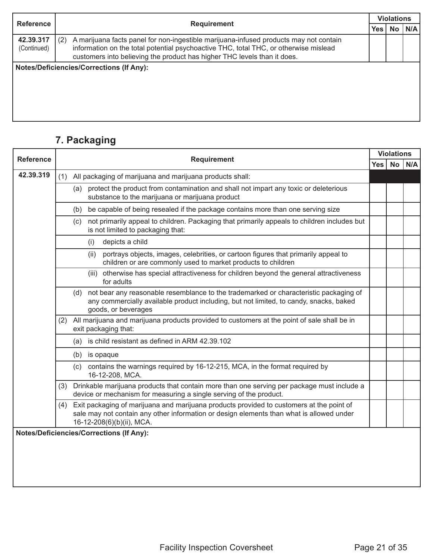| <b>Reference</b>         |                                                                                                                                                                                                                                                                  |            | <b>Violations</b> |     |
|--------------------------|------------------------------------------------------------------------------------------------------------------------------------------------------------------------------------------------------------------------------------------------------------------|------------|-------------------|-----|
|                          | <b>Requirement</b>                                                                                                                                                                                                                                               | <b>Yes</b> | <b>No</b>         | N/A |
| 42.39.317<br>(Continued) | A marijuana facts panel for non-ingestible marijuana-infused products may not contain<br>(2)<br>information on the total potential psychoactive THC, total THC, or otherwise mislead<br>customers into believing the product has higher THC levels than it does. |            |                   |     |
|                          | <b>Notes/Deficiencies/Corrections (If Any):</b>                                                                                                                                                                                                                  |            |                   |     |

### **7. Packaging**

| <b>Reference</b> | <b>Requirement</b>                                                                                                                                                                                                       | <b>Violations</b> |  |            |
|------------------|--------------------------------------------------------------------------------------------------------------------------------------------------------------------------------------------------------------------------|-------------------|--|------------|
|                  |                                                                                                                                                                                                                          | Yes l             |  | $No$ $N/A$ |
| 42.39.319        | All packaging of marijuana and marijuana products shall:<br>(1)                                                                                                                                                          |                   |  |            |
|                  | (a) protect the product from contamination and shall not impart any toxic or deleterious<br>substance to the marijuana or marijuana product                                                                              |                   |  |            |
|                  | be capable of being resealed if the package contains more than one serving size<br>(b)                                                                                                                                   |                   |  |            |
|                  | not primarily appeal to children. Packaging that primarily appeals to children includes but<br>(c)<br>is not limited to packaging that:                                                                                  |                   |  |            |
|                  | depicts a child<br>(i)                                                                                                                                                                                                   |                   |  |            |
|                  | portrays objects, images, celebrities, or cartoon figures that primarily appeal to<br>(ii)<br>children or are commonly used to market products to children                                                               |                   |  |            |
|                  | otherwise has special attractiveness for children beyond the general attractiveness<br>(iii)<br>for adults                                                                                                               |                   |  |            |
|                  | not bear any reasonable resemblance to the trademarked or characteristic packaging of<br>(d)<br>any commercially available product including, but not limited, to candy, snacks, baked<br>goods, or beverages            |                   |  |            |
|                  | All marijuana and marijuana products provided to customers at the point of sale shall be in<br>(2)<br>exit packaging that:                                                                                               |                   |  |            |
|                  | is child resistant as defined in ARM 42.39.102<br>(a)                                                                                                                                                                    |                   |  |            |
|                  | (b) is opaque                                                                                                                                                                                                            |                   |  |            |
|                  | contains the warnings required by 16-12-215, MCA, in the format required by<br>(c)<br>16-12-208, MCA.                                                                                                                    |                   |  |            |
|                  | Drinkable marijuana products that contain more than one serving per package must include a<br>(3)<br>device or mechanism for measuring a single serving of the product.                                                  |                   |  |            |
|                  | Exit packaging of marijuana and marijuana products provided to customers at the point of<br>(4)<br>sale may not contain any other information or design elements than what is allowed under<br>16-12-208(6)(b)(ii), MCA. |                   |  |            |
|                  | <b>Notes/Deficiencies/Corrections (If Any):</b>                                                                                                                                                                          |                   |  |            |
|                  |                                                                                                                                                                                                                          |                   |  |            |
|                  |                                                                                                                                                                                                                          |                   |  |            |
|                  |                                                                                                                                                                                                                          |                   |  |            |
|                  |                                                                                                                                                                                                                          |                   |  |            |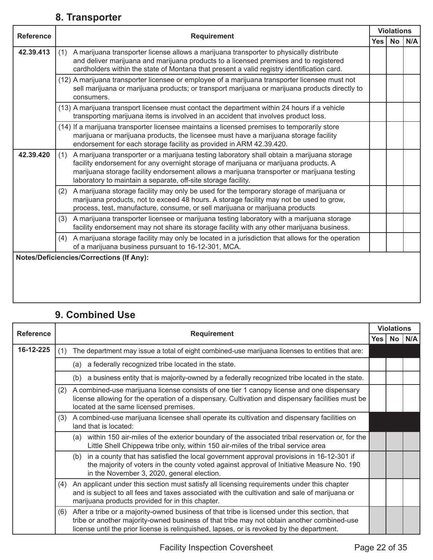#### **8. Transporter**

|                  |                                                                                                                                                                                                                                                                                                                                                          | <b>Violations</b> |           |     |
|------------------|----------------------------------------------------------------------------------------------------------------------------------------------------------------------------------------------------------------------------------------------------------------------------------------------------------------------------------------------------------|-------------------|-----------|-----|
| <b>Reference</b> | <b>Requirement</b>                                                                                                                                                                                                                                                                                                                                       | <b>Yes</b>        | <b>No</b> | N/A |
| 42.39.413        | A marijuana transporter license allows a marijuana transporter to physically distribute<br>(1)<br>and deliver marijuana and marijuana products to a licensed premises and to registered<br>cardholders within the state of Montana that present a valid registry identification card.                                                                    |                   |           |     |
|                  | (12) A marijuana transporter licensee or employee of a marijuana transporter licensee must not<br>sell marijuana or marijuana products; or transport marijuana or marijuana products directly to<br>consumers.                                                                                                                                           |                   |           |     |
|                  | (13) A marijuana transport licensee must contact the department within 24 hours if a vehicle<br>transporting marijuana items is involved in an accident that involves product loss.                                                                                                                                                                      |                   |           |     |
|                  | (14) If a marijuana transporter licensee maintains a licensed premises to temporarily store<br>marijuana or marijuana products, the licensee must have a marijuana storage facility<br>endorsement for each storage facility as provided in ARM 42.39.420.                                                                                               |                   |           |     |
| 42.39.420        | A marijuana transporter or a marijuana testing laboratory shall obtain a marijuana storage<br>(1)<br>facility endorsement for any overnight storage of marijuana or marijuana products. A<br>marijuana storage facility endorsement allows a marijuana transporter or marijuana testing<br>laboratory to maintain a separate, off-site storage facility. |                   |           |     |
|                  | A marijuana storage facility may only be used for the temporary storage of marijuana or<br>(2)<br>marijuana products, not to exceed 48 hours. A storage facility may not be used to grow,<br>process, test, manufacture, consume, or sell marijuana or marijuana products                                                                                |                   |           |     |
|                  | A marijuana transporter licensee or marijuana testing laboratory with a marijuana storage<br>(3)<br>facility endorsement may not share its storage facility with any other marijuana business.                                                                                                                                                           |                   |           |     |
|                  | A marijuana storage facility may only be located in a jurisdiction that allows for the operation<br>(4)<br>of a marijuana business pursuant to 16-12-301, MCA.                                                                                                                                                                                           |                   |           |     |
|                  | <b>Notes/Deficiencies/Corrections (If Any):</b>                                                                                                                                                                                                                                                                                                          |                   |           |     |
|                  |                                                                                                                                                                                                                                                                                                                                                          |                   |           |     |

### **9. Combined Use**

|                  |                                                                                                                                                                                                                                                                                                 | <b>Violations</b> |  |  |  |  |  |
|------------------|-------------------------------------------------------------------------------------------------------------------------------------------------------------------------------------------------------------------------------------------------------------------------------------------------|-------------------|--|--|--|--|--|
| <b>Reference</b> | <b>Requirement</b><br>Yes   No   N/A                                                                                                                                                                                                                                                            |                   |  |  |  |  |  |
| 16-12-225        | The department may issue a total of eight combined-use marijuana licenses to entities that are:<br>(1)                                                                                                                                                                                          |                   |  |  |  |  |  |
|                  | a federally recognized tribe located in the state.<br>(a)                                                                                                                                                                                                                                       |                   |  |  |  |  |  |
|                  | (b) a business entity that is majority-owned by a federally recognized tribe located in the state.                                                                                                                                                                                              |                   |  |  |  |  |  |
|                  | A combined-use marijuana license consists of one tier 1 canopy license and one dispensary<br>(2)<br>license allowing for the operation of a dispensary. Cultivation and dispensary facilities must be<br>located at the same licensed premises.                                                 |                   |  |  |  |  |  |
|                  | A combined-use marijuana licensee shall operate its cultivation and dispensary facilities on<br>(3)<br>land that is located:                                                                                                                                                                    |                   |  |  |  |  |  |
|                  | (a) within 150 air-miles of the exterior boundary of the associated tribal reservation or, for the<br>Little Shell Chippewa tribe only, within 150 air-miles of the tribal service area                                                                                                         |                   |  |  |  |  |  |
|                  | in a county that has satisfied the local government approval provisions in 16-12-301 if<br>(b)<br>the majority of voters in the county voted against approval of Initiative Measure No. 190<br>in the November 3, 2020, general election.                                                       |                   |  |  |  |  |  |
|                  | An applicant under this section must satisfy all licensing requirements under this chapter<br>(4)<br>and is subject to all fees and taxes associated with the cultivation and sale of marijuana or<br>marijuana products provided for in this chapter.                                          |                   |  |  |  |  |  |
|                  | After a tribe or a majority-owned business of that tribe is licensed under this section, that<br>(6)<br>tribe or another majority-owned business of that tribe may not obtain another combined-use<br>license until the prior license is relinguished, lapses, or is revoked by the department. |                   |  |  |  |  |  |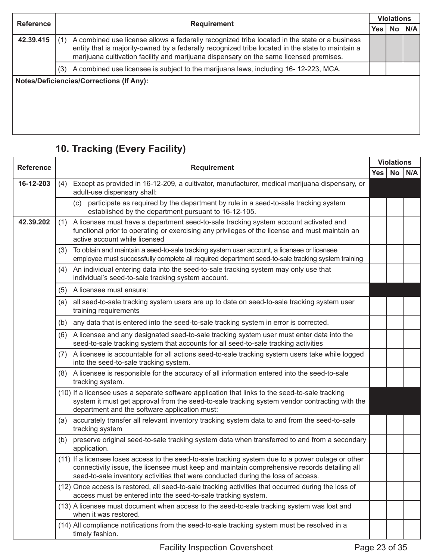| <b>Reference</b> |     | <b>Violations</b>                                                                                                                                                                                                                                                                           |            |           |     |  |
|------------------|-----|---------------------------------------------------------------------------------------------------------------------------------------------------------------------------------------------------------------------------------------------------------------------------------------------|------------|-----------|-----|--|
|                  |     | <b>Requirement</b>                                                                                                                                                                                                                                                                          | <b>Yes</b> | <b>No</b> | N/A |  |
| 42.39.415        |     | A combined use license allows a federally recognized tribe located in the state or a business<br>entity that is majority-owned by a federally recognized tribe located in the state to maintain a<br>marijuana cultivation facility and marijuana dispensary on the same licensed premises. |            |           |     |  |
|                  | (3) | A combined use licensee is subject to the marijuana laws, including 16-12-223, MCA.                                                                                                                                                                                                         |            |           |     |  |
|                  |     | <b>Notes/Deficiencies/Corrections (If Any):</b>                                                                                                                                                                                                                                             |            |           |     |  |

## **10. Tracking (Every Facility)**

| <b>Reference</b> |     |                                                                                                                                                                                                                                                                                       |         |  | <b>Violations</b> |
|------------------|-----|---------------------------------------------------------------------------------------------------------------------------------------------------------------------------------------------------------------------------------------------------------------------------------------|---------|--|-------------------|
|                  |     | <b>Requirement</b>                                                                                                                                                                                                                                                                    | Yes $ $ |  | $No$ $N/A$        |
| 16-12-203        | (4) | Except as provided in 16-12-209, a cultivator, manufacturer, medical marijuana dispensary, or<br>adult-use dispensary shall:                                                                                                                                                          |         |  |                   |
|                  |     | (c) participate as required by the department by rule in a seed-to-sale tracking system<br>established by the department pursuant to 16-12-105.                                                                                                                                       |         |  |                   |
| 42.39.202        | (1) | A licensee must have a department seed-to-sale tracking system account activated and<br>functional prior to operating or exercising any privileges of the license and must maintain an<br>active account while licensed                                                               |         |  |                   |
|                  | (3) | To obtain and maintain a seed-to-sale tracking system user account, a licensee or licensee<br>employee must successfully complete all required department seed-to-sale tracking system training                                                                                       |         |  |                   |
|                  | (4) | An individual entering data into the seed-to-sale tracking system may only use that<br>individual's seed-to-sale tracking system account.                                                                                                                                             |         |  |                   |
|                  | (5) | A licensee must ensure:                                                                                                                                                                                                                                                               |         |  |                   |
|                  | (a) | all seed-to-sale tracking system users are up to date on seed-to-sale tracking system user<br>training requirements                                                                                                                                                                   |         |  |                   |
|                  | (b) | any data that is entered into the seed-to-sale tracking system in error is corrected.                                                                                                                                                                                                 |         |  |                   |
|                  | (6) | A licensee and any designated seed-to-sale tracking system user must enter data into the<br>seed-to-sale tracking system that accounts for all seed-to-sale tracking activities                                                                                                       |         |  |                   |
|                  | (7) | A licensee is accountable for all actions seed-to-sale tracking system users take while logged<br>into the seed-to-sale tracking system.                                                                                                                                              |         |  |                   |
|                  | (8) | A licensee is responsible for the accuracy of all information entered into the seed-to-sale<br>tracking system.                                                                                                                                                                       |         |  |                   |
|                  |     | (10) If a licensee uses a separate software application that links to the seed-to-sale tracking<br>system it must get approval from the seed-to-sale tracking system vendor contracting with the<br>department and the software application must:                                     |         |  |                   |
|                  | (a) | accurately transfer all relevant inventory tracking system data to and from the seed-to-sale<br>tracking system                                                                                                                                                                       |         |  |                   |
|                  |     | (b) preserve original seed-to-sale tracking system data when transferred to and from a secondary<br>application.                                                                                                                                                                      |         |  |                   |
|                  |     | (11) If a licensee loses access to the seed-to-sale tracking system due to a power outage or other<br>connectivity issue, the licensee must keep and maintain comprehensive records detailing all<br>seed-to-sale inventory activities that were conducted during the loss of access. |         |  |                   |
|                  |     | (12) Once access is restored, all seed-to-sale tracking activities that occurred during the loss of<br>access must be entered into the seed-to-sale tracking system.                                                                                                                  |         |  |                   |
|                  |     | (13) A licensee must document when access to the seed-to-sale tracking system was lost and<br>when it was restored.                                                                                                                                                                   |         |  |                   |
|                  |     | (14) All compliance notifications from the seed-to-sale tracking system must be resolved in a<br>timely fashion.                                                                                                                                                                      |         |  |                   |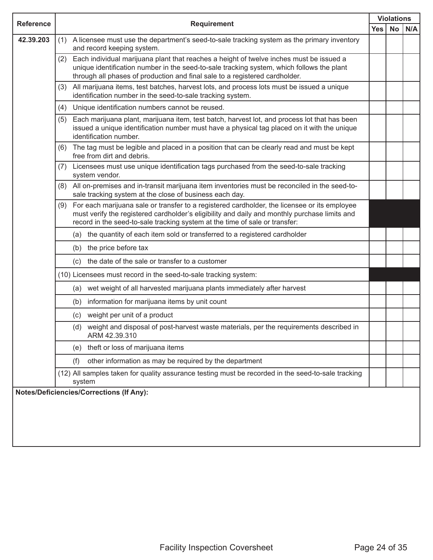| <b>Reference</b> | <b>Requirement</b>                                                                                                                                                                                                                                                                  |            |           | <b>Violations</b> |  |  |  |
|------------------|-------------------------------------------------------------------------------------------------------------------------------------------------------------------------------------------------------------------------------------------------------------------------------------|------------|-----------|-------------------|--|--|--|
|                  |                                                                                                                                                                                                                                                                                     | <b>Yes</b> | <b>No</b> | N/A               |  |  |  |
| 42.39.203        | A licensee must use the department's seed-to-sale tracking system as the primary inventory<br>(1)<br>and record keeping system.                                                                                                                                                     |            |           |                   |  |  |  |
|                  | Each individual marijuana plant that reaches a height of twelve inches must be issued a<br>(2)<br>unique identification number in the seed-to-sale tracking system, which follows the plant<br>through all phases of production and final sale to a registered cardholder.          |            |           |                   |  |  |  |
|                  | All marijuana items, test batches, harvest lots, and process lots must be issued a unique<br>(3)<br>identification number in the seed-to-sale tracking system.                                                                                                                      |            |           |                   |  |  |  |
|                  | Unique identification numbers cannot be reused.<br>(4)                                                                                                                                                                                                                              |            |           |                   |  |  |  |
|                  | Each marijuana plant, marijuana item, test batch, harvest lot, and process lot that has been<br>(5)<br>issued a unique identification number must have a physical tag placed on it with the unique<br>identification number.                                                        |            |           |                   |  |  |  |
|                  | The tag must be legible and placed in a position that can be clearly read and must be kept<br>(6)<br>free from dirt and debris.                                                                                                                                                     |            |           |                   |  |  |  |
|                  | Licensees must use unique identification tags purchased from the seed-to-sale tracking<br>(7)<br>system vendor.                                                                                                                                                                     |            |           |                   |  |  |  |
|                  | All on-premises and in-transit marijuana item inventories must be reconciled in the seed-to-<br>(8)<br>sale tracking system at the close of business each day.                                                                                                                      |            |           |                   |  |  |  |
|                  | For each marijuana sale or transfer to a registered cardholder, the licensee or its employee<br>(9)<br>must verify the registered cardholder's eligibility and daily and monthly purchase limits and<br>record in the seed-to-sale tracking system at the time of sale or transfer: |            |           |                   |  |  |  |
|                  | (a) the quantity of each item sold or transferred to a registered cardholder                                                                                                                                                                                                        |            |           |                   |  |  |  |
|                  | (b) the price before tax                                                                                                                                                                                                                                                            |            |           |                   |  |  |  |
|                  | (c) the date of the sale or transfer to a customer                                                                                                                                                                                                                                  |            |           |                   |  |  |  |
|                  | (10) Licensees must record in the seed-to-sale tracking system:                                                                                                                                                                                                                     |            |           |                   |  |  |  |
|                  | (a) wet weight of all harvested marijuana plants immediately after harvest                                                                                                                                                                                                          |            |           |                   |  |  |  |
|                  | (b) information for marijuana items by unit count                                                                                                                                                                                                                                   |            |           |                   |  |  |  |
|                  | (c) weight per unit of a product                                                                                                                                                                                                                                                    |            |           |                   |  |  |  |
|                  | (d) weight and disposal of post-harvest waste materials, per the requirements described in<br>ARM 42.39.310                                                                                                                                                                         |            |           |                   |  |  |  |
|                  | (e) theft or loss of marijuana items                                                                                                                                                                                                                                                |            |           |                   |  |  |  |
|                  | other information as may be required by the department<br>(f)                                                                                                                                                                                                                       |            |           |                   |  |  |  |
|                  | (12) All samples taken for quality assurance testing must be recorded in the seed-to-sale tracking<br>system                                                                                                                                                                        |            |           |                   |  |  |  |
|                  | <b>Notes/Deficiencies/Corrections (If Any):</b>                                                                                                                                                                                                                                     |            |           |                   |  |  |  |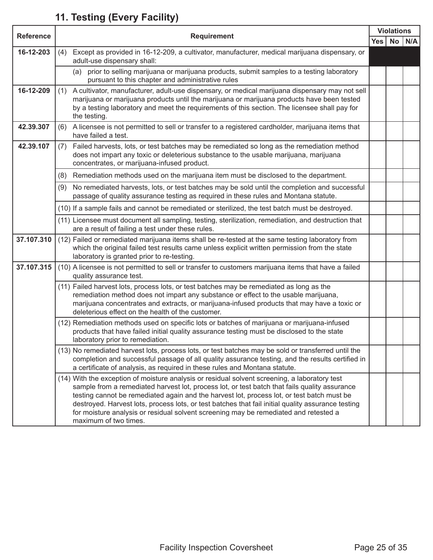### **11. Testing (Every Facility)**

| <b>Reference</b> | <b>Requirement</b> |                                                                                                                                                                                                                                                                                                                                                                                                                                                                                                                     |            | <b>Violations</b> |     |
|------------------|--------------------|---------------------------------------------------------------------------------------------------------------------------------------------------------------------------------------------------------------------------------------------------------------------------------------------------------------------------------------------------------------------------------------------------------------------------------------------------------------------------------------------------------------------|------------|-------------------|-----|
|                  |                    |                                                                                                                                                                                                                                                                                                                                                                                                                                                                                                                     | <b>Yes</b> | <b>No</b>         | N/A |
| 16-12-203        | (4)                | Except as provided in 16-12-209, a cultivator, manufacturer, medical marijuana dispensary, or<br>adult-use dispensary shall:                                                                                                                                                                                                                                                                                                                                                                                        |            |                   |     |
|                  |                    | (a) prior to selling marijuana or marijuana products, submit samples to a testing laboratory<br>pursuant to this chapter and administrative rules                                                                                                                                                                                                                                                                                                                                                                   |            |                   |     |
| 16-12-209        | (1)                | A cultivator, manufacturer, adult-use dispensary, or medical marijuana dispensary may not sell<br>marijuana or marijuana products until the marijuana or marijuana products have been tested<br>by a testing laboratory and meet the requirements of this section. The licensee shall pay for<br>the testing.                                                                                                                                                                                                       |            |                   |     |
| 42.39.307        | (6)                | A licensee is not permitted to sell or transfer to a registered cardholder, marijuana items that<br>have failed a test.                                                                                                                                                                                                                                                                                                                                                                                             |            |                   |     |
| 42.39.107        | (7)                | Failed harvests, lots, or test batches may be remediated so long as the remediation method<br>does not impart any toxic or deleterious substance to the usable marijuana, marijuana<br>concentrates, or marijuana-infused product.                                                                                                                                                                                                                                                                                  |            |                   |     |
|                  |                    | (8) Remediation methods used on the marijuana item must be disclosed to the department.                                                                                                                                                                                                                                                                                                                                                                                                                             |            |                   |     |
|                  | (9)                | No remediated harvests, lots, or test batches may be sold until the completion and successful<br>passage of quality assurance testing as required in these rules and Montana statute.                                                                                                                                                                                                                                                                                                                               |            |                   |     |
|                  |                    | (10) If a sample fails and cannot be remediated or sterilized, the test batch must be destroyed.                                                                                                                                                                                                                                                                                                                                                                                                                    |            |                   |     |
|                  |                    | (11) Licensee must document all sampling, testing, sterilization, remediation, and destruction that<br>are a result of failing a test under these rules.                                                                                                                                                                                                                                                                                                                                                            |            |                   |     |
| 37.107.310       |                    | (12) Failed or remediated marijuana items shall be re-tested at the same testing laboratory from<br>which the original failed test results came unless explicit written permission from the state<br>laboratory is granted prior to re-testing.                                                                                                                                                                                                                                                                     |            |                   |     |
| 37.107.315       |                    | (10) A licensee is not permitted to sell or transfer to customers marijuana items that have a failed<br>quality assurance test.                                                                                                                                                                                                                                                                                                                                                                                     |            |                   |     |
|                  |                    | (11) Failed harvest lots, process lots, or test batches may be remediated as long as the<br>remediation method does not impart any substance or effect to the usable marijuana,<br>marijuana concentrates and extracts, or marijuana-infused products that may have a toxic or<br>deleterious effect on the health of the customer.                                                                                                                                                                                 |            |                   |     |
|                  |                    | (12) Remediation methods used on specific lots or batches of marijuana or marijuana-infused<br>products that have failed initial quality assurance testing must be disclosed to the state<br>laboratory prior to remediation.                                                                                                                                                                                                                                                                                       |            |                   |     |
|                  |                    | (13) No remediated harvest lots, process lots, or test batches may be sold or transferred until the<br>completion and successful passage of all quality assurance testing, and the results certified in<br>a certificate of analysis, as required in these rules and Montana statute.                                                                                                                                                                                                                               |            |                   |     |
|                  |                    | (14) With the exception of moisture analysis or residual solvent screening, a laboratory test<br>sample from a remediated harvest lot, process lot, or test batch that fails quality assurance<br>testing cannot be remediated again and the harvest lot, process lot, or test batch must be<br>destroyed. Harvest lots, process lots, or test batches that fail initial quality assurance testing<br>for moisture analysis or residual solvent screening may be remediated and retested a<br>maximum of two times. |            |                   |     |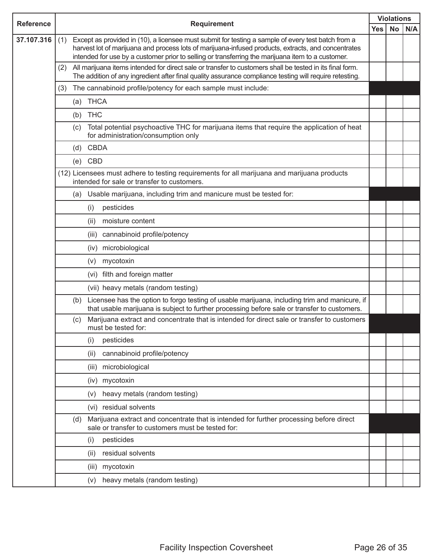| <b>Reference</b> | <b>Requirement</b>                                                                                                                                                                                                                                                                                                    |                                                                                                                                                                                                                     |            |           | <b>Violations</b> |
|------------------|-----------------------------------------------------------------------------------------------------------------------------------------------------------------------------------------------------------------------------------------------------------------------------------------------------------------------|---------------------------------------------------------------------------------------------------------------------------------------------------------------------------------------------------------------------|------------|-----------|-------------------|
|                  |                                                                                                                                                                                                                                                                                                                       |                                                                                                                                                                                                                     | <b>Yes</b> | <b>No</b> | N/A               |
| 37.107.316       | Except as provided in (10), a licensee must submit for testing a sample of every test batch from a<br>(1)<br>harvest lot of marijuana and process lots of marijuana-infused products, extracts, and concentrates<br>intended for use by a customer prior to selling or transferring the marijuana item to a customer. |                                                                                                                                                                                                                     |            |           |                   |
|                  | (2)                                                                                                                                                                                                                                                                                                                   | All marijuana items intended for direct sale or transfer to customers shall be tested in its final form.<br>The addition of any ingredient after final quality assurance compliance testing will require retesting. |            |           |                   |
|                  | (3)                                                                                                                                                                                                                                                                                                                   | The cannabinoid profile/potency for each sample must include:                                                                                                                                                       |            |           |                   |
|                  |                                                                                                                                                                                                                                                                                                                       | (a) THCA                                                                                                                                                                                                            |            |           |                   |
|                  |                                                                                                                                                                                                                                                                                                                       | (b) THC                                                                                                                                                                                                             |            |           |                   |
|                  | (c)                                                                                                                                                                                                                                                                                                                   | Total potential psychoactive THC for marijuana items that require the application of heat<br>for administration/consumption only                                                                                    |            |           |                   |
|                  |                                                                                                                                                                                                                                                                                                                       | (d) CBDA                                                                                                                                                                                                            |            |           |                   |
|                  | (e)                                                                                                                                                                                                                                                                                                                   | CBD                                                                                                                                                                                                                 |            |           |                   |
|                  |                                                                                                                                                                                                                                                                                                                       | (12) Licensees must adhere to testing requirements for all marijuana and marijuana products<br>intended for sale or transfer to customers.                                                                          |            |           |                   |
|                  |                                                                                                                                                                                                                                                                                                                       | (a) Usable marijuana, including trim and manicure must be tested for:                                                                                                                                               |            |           |                   |
|                  |                                                                                                                                                                                                                                                                                                                       | pesticides<br>(i)                                                                                                                                                                                                   |            |           |                   |
|                  |                                                                                                                                                                                                                                                                                                                       | moisture content<br>(ii)                                                                                                                                                                                            |            |           |                   |
|                  |                                                                                                                                                                                                                                                                                                                       | cannabinoid profile/potency<br>(iii)                                                                                                                                                                                |            |           |                   |
|                  |                                                                                                                                                                                                                                                                                                                       | microbiological<br>(iv)                                                                                                                                                                                             |            |           |                   |
|                  |                                                                                                                                                                                                                                                                                                                       | mycotoxin<br>(v)                                                                                                                                                                                                    |            |           |                   |
|                  |                                                                                                                                                                                                                                                                                                                       | (vi) filth and foreign matter                                                                                                                                                                                       |            |           |                   |
|                  |                                                                                                                                                                                                                                                                                                                       | (vii) heavy metals (random testing)                                                                                                                                                                                 |            |           |                   |
|                  |                                                                                                                                                                                                                                                                                                                       | Licensee has the option to forgo testing of usable marijuana, including trim and manicure, if<br>(b)<br>that usable marijuana is subject to further processing before sale or transfer to customers.                |            |           |                   |
|                  | (c)                                                                                                                                                                                                                                                                                                                   | Marijuana extract and concentrate that is intended for direct sale or transfer to customers<br>must be tested for:                                                                                                  |            |           |                   |
|                  |                                                                                                                                                                                                                                                                                                                       | pesticides<br>(i)                                                                                                                                                                                                   |            |           |                   |
|                  |                                                                                                                                                                                                                                                                                                                       | cannabinoid profile/potency<br>(ii)                                                                                                                                                                                 |            |           |                   |
|                  |                                                                                                                                                                                                                                                                                                                       | microbiological<br>(iii)                                                                                                                                                                                            |            |           |                   |
|                  |                                                                                                                                                                                                                                                                                                                       | mycotoxin<br>(iv)                                                                                                                                                                                                   |            |           |                   |
|                  |                                                                                                                                                                                                                                                                                                                       | heavy metals (random testing)<br>(v)                                                                                                                                                                                |            |           |                   |
|                  |                                                                                                                                                                                                                                                                                                                       | (vi) residual solvents                                                                                                                                                                                              |            |           |                   |
|                  | (d)                                                                                                                                                                                                                                                                                                                   | Marijuana extract and concentrate that is intended for further processing before direct<br>sale or transfer to customers must be tested for:                                                                        |            |           |                   |
|                  |                                                                                                                                                                                                                                                                                                                       | pesticides<br>(i)                                                                                                                                                                                                   |            |           |                   |
|                  |                                                                                                                                                                                                                                                                                                                       | residual solvents<br>(ii)                                                                                                                                                                                           |            |           |                   |
|                  |                                                                                                                                                                                                                                                                                                                       | mycotoxin<br>(iii)                                                                                                                                                                                                  |            |           |                   |
|                  |                                                                                                                                                                                                                                                                                                                       | heavy metals (random testing)<br>(v)                                                                                                                                                                                |            |           |                   |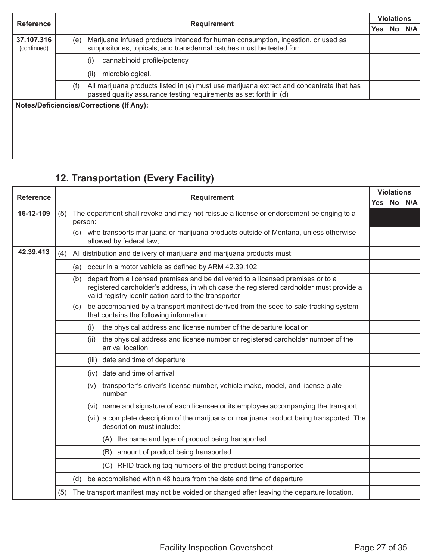| <b>Reference</b>          |     |                                                                                                                                                               |            | <b>Violations</b> |     |  |  |  |
|---------------------------|-----|---------------------------------------------------------------------------------------------------------------------------------------------------------------|------------|-------------------|-----|--|--|--|
|                           |     | <b>Requirement</b>                                                                                                                                            | <b>Yes</b> | <b>No</b>         | N/A |  |  |  |
| 37.107.316<br>(continued) | (e) | Marijuana infused products intended for human consumption, ingestion, or used as<br>suppositories, topicals, and transdermal patches must be tested for:      |            |                   |     |  |  |  |
|                           |     | cannabinoid profile/potency<br>(i)                                                                                                                            |            |                   |     |  |  |  |
|                           |     | microbiological.<br>(ii)                                                                                                                                      |            |                   |     |  |  |  |
|                           | (f) | All marijuana products listed in (e) must use marijuana extract and concentrate that has<br>passed quality assurance testing requirements as set forth in (d) |            |                   |     |  |  |  |
|                           |     | <b>Notes/Deficiencies/Corrections (If Any):</b>                                                                                                               |            |                   |     |  |  |  |
|                           |     |                                                                                                                                                               |            |                   |     |  |  |  |
|                           |     |                                                                                                                                                               |            |                   |     |  |  |  |
|                           |     |                                                                                                                                                               |            |                   |     |  |  |  |
|                           |     |                                                                                                                                                               |            |                   |     |  |  |  |

## **12. Transportation (Every Facility)**

| <b>Reference</b> | <b>Requirement</b> |     |                                                                                                                                                                                                                                     | <b>Violations</b> |     |  |
|------------------|--------------------|-----|-------------------------------------------------------------------------------------------------------------------------------------------------------------------------------------------------------------------------------------|-------------------|-----|--|
|                  |                    |     | <b>Yes</b>                                                                                                                                                                                                                          | <b>No</b>         | N/A |  |
| 16-12-109        | (5)                |     | The department shall revoke and may not reissue a license or endorsement belonging to a<br>person:                                                                                                                                  |                   |     |  |
|                  |                    | (c) | who transports marijuana or marijuana products outside of Montana, unless otherwise<br>allowed by federal law;                                                                                                                      |                   |     |  |
| 42.39.413        | (4)                |     | All distribution and delivery of marijuana and marijuana products must:                                                                                                                                                             |                   |     |  |
|                  |                    |     | (a) occur in a motor vehicle as defined by ARM 42.39.102                                                                                                                                                                            |                   |     |  |
|                  |                    | (b) | depart from a licensed premises and be delivered to a licensed premises or to a<br>registered cardholder's address, in which case the registered cardholder must provide a<br>valid registry identification card to the transporter |                   |     |  |
|                  |                    | (c) | be accompanied by a transport manifest derived from the seed-to-sale tracking system<br>that contains the following information:                                                                                                    |                   |     |  |
|                  |                    |     | the physical address and license number of the departure location<br>(i)                                                                                                                                                            |                   |     |  |
|                  |                    |     | the physical address and license number or registered cardholder number of the<br>(ii)<br>arrival location                                                                                                                          |                   |     |  |
|                  |                    |     | (iii) date and time of departure                                                                                                                                                                                                    |                   |     |  |
|                  |                    |     | (iv) date and time of arrival                                                                                                                                                                                                       |                   |     |  |
|                  |                    |     | transporter's driver's license number, vehicle make, model, and license plate<br>(v)<br>number                                                                                                                                      |                   |     |  |
|                  |                    |     | (vi) name and signature of each licensee or its employee accompanying the transport                                                                                                                                                 |                   |     |  |
|                  |                    |     | (vii) a complete description of the marijuana or marijuana product being transported. The<br>description must include:                                                                                                              |                   |     |  |
|                  |                    |     | (A) the name and type of product being transported                                                                                                                                                                                  |                   |     |  |
|                  |                    |     | (B) amount of product being transported                                                                                                                                                                                             |                   |     |  |
|                  |                    |     | (C) RFID tracking tag numbers of the product being transported                                                                                                                                                                      |                   |     |  |
|                  |                    | (d) | be accomplished within 48 hours from the date and time of departure                                                                                                                                                                 |                   |     |  |
|                  | (5)                |     | The transport manifest may not be voided or changed after leaving the departure location.                                                                                                                                           |                   |     |  |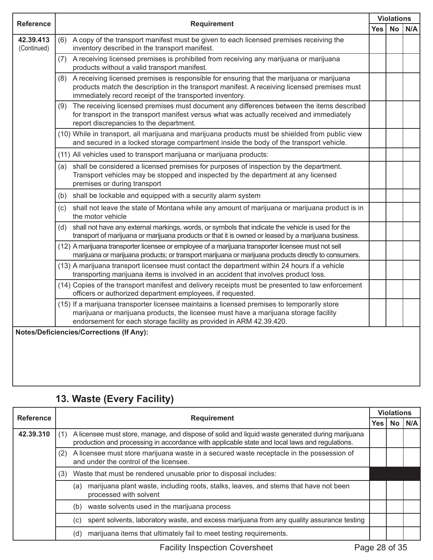| <b>Reference</b>         | <b>Requirement</b>                                                                                                                                                                                                                                           | <b>Violations</b> |           |     |
|--------------------------|--------------------------------------------------------------------------------------------------------------------------------------------------------------------------------------------------------------------------------------------------------------|-------------------|-----------|-----|
|                          |                                                                                                                                                                                                                                                              | <b>Yes</b>        | <b>No</b> | N/A |
| 42.39.413<br>(Continued) | (6) A copy of the transport manifest must be given to each licensed premises receiving the<br>inventory described in the transport manifest.                                                                                                                 |                   |           |     |
|                          | A receiving licensed premises is prohibited from receiving any marijuana or marijuana<br>(7)<br>products without a valid transport manifest.                                                                                                                 |                   |           |     |
|                          | A receiving licensed premises is responsible for ensuring that the marijuana or marijuana<br>(8)<br>products match the description in the transport manifest. A receiving licensed premises must<br>immediately record receipt of the transported inventory. |                   |           |     |
|                          | The receiving licensed premises must document any differences between the items described<br>(9)<br>for transport in the transport manifest versus what was actually received and immediately<br>report discrepancies to the department.                     |                   |           |     |
|                          | (10) While in transport, all marijuana and marijuana products must be shielded from public view<br>and secured in a locked storage compartment inside the body of the transport vehicle.                                                                     |                   |           |     |
|                          | (11) All vehicles used to transport marijuana or marijuana products:                                                                                                                                                                                         |                   |           |     |
|                          | shall be considered a licensed premises for purposes of inspection by the department.<br>(a)<br>Transport vehicles may be stopped and inspected by the department at any licensed<br>premises or during transport                                            |                   |           |     |
|                          | shall be lockable and equipped with a security alarm system<br>(b)                                                                                                                                                                                           |                   |           |     |
|                          | shall not leave the state of Montana while any amount of marijuana or marijuana product is in<br>(c)<br>the motor vehicle                                                                                                                                    |                   |           |     |
|                          | shall not have any external markings, words, or symbols that indicate the vehicle is used for the<br>(d)<br>transport of marijuana or marijuana products or that it is owned or leased by a marijuana business.                                              |                   |           |     |
|                          | (12) A marijuana transporter licensee or employee of a marijuana transporter licensee must not sell<br>marijuana or marijuana products; or transport marijuana or marijuana products directly to consumers.                                                  |                   |           |     |
|                          | (13) A marijuana transport licensee must contact the department within 24 hours if a vehicle<br>transporting marijuana items is involved in an accident that involves product loss.                                                                          |                   |           |     |
|                          | (14) Copies of the transport manifest and delivery receipts must be presented to law enforcement<br>officers or authorized department employees, if requested.                                                                                               |                   |           |     |
|                          | (15) If a marijuana transporter licensee maintains a licensed premises to temporarily store<br>marijuana or marijuana products, the licensee must have a marijuana storage facility<br>endorsement for each storage facility as provided in ARM 42.39.420.   |                   |           |     |
|                          | <b>Notes/Deficiencies/Corrections (If Any):</b>                                                                                                                                                                                                              |                   |           |     |
|                          |                                                                                                                                                                                                                                                              |                   |           |     |

## **13. Waste (Every Facility)**

| <b>Reference</b> |     | <b>Requirement</b>                                                                                                                                                                               |     | <b>Violations</b> |     |
|------------------|-----|--------------------------------------------------------------------------------------------------------------------------------------------------------------------------------------------------|-----|-------------------|-----|
|                  |     |                                                                                                                                                                                                  | Yes | <b>No</b>         | N/A |
| 42.39.310        |     | A licensee must store, manage, and dispose of solid and liquid waste generated during marijuana<br>production and processing in accordance with applicable state and local laws and regulations. |     |                   |     |
|                  | (2) | A licensee must store marijuana waste in a secured waste receptacle in the possession of<br>and under the control of the licensee.                                                               |     |                   |     |
|                  | (3) | Waste that must be rendered unusable prior to disposal includes:                                                                                                                                 |     |                   |     |
|                  |     | marijuana plant waste, including roots, stalks, leaves, and stems that have not been<br>(a)<br>processed with solvent                                                                            |     |                   |     |
|                  |     | waste solvents used in the marijuana process<br>(b)                                                                                                                                              |     |                   |     |
|                  |     | spent solvents, laboratory waste, and excess marijuana from any quality assurance testing<br>(C)                                                                                                 |     |                   |     |
|                  |     | marijuana items that ultimately fail to meet testing requirements.<br>(d)                                                                                                                        |     |                   |     |

Facility Inspection Coversheet Page 28 of 35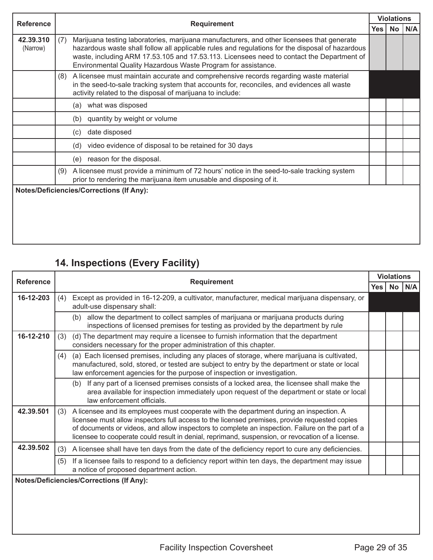| <b>Reference</b>      |                                                                                                                                                                                                                                                                                                                                                                    | <b>Violations</b> |           |     |
|-----------------------|--------------------------------------------------------------------------------------------------------------------------------------------------------------------------------------------------------------------------------------------------------------------------------------------------------------------------------------------------------------------|-------------------|-----------|-----|
|                       | <b>Requirement</b>                                                                                                                                                                                                                                                                                                                                                 | Yes               | <b>No</b> | N/A |
| 42.39.310<br>(Narrow) | Marijuana testing laboratories, marijuana manufacturers, and other licensees that generate<br>(7)<br>hazardous waste shall follow all applicable rules and regulations for the disposal of hazardous<br>waste, including ARM 17.53.105 and 17.53.113. Licensees need to contact the Department of<br>Environmental Quality Hazardous Waste Program for assistance. |                   |           |     |
|                       | A licensee must maintain accurate and comprehensive records regarding waste material<br>(8)<br>in the seed-to-sale tracking system that accounts for, reconciles, and evidences all waste<br>activity related to the disposal of marijuana to include:                                                                                                             |                   |           |     |
|                       | what was disposed<br>(a)                                                                                                                                                                                                                                                                                                                                           |                   |           |     |
|                       | quantity by weight or volume<br>(b)                                                                                                                                                                                                                                                                                                                                |                   |           |     |
|                       | date disposed<br>(c)                                                                                                                                                                                                                                                                                                                                               |                   |           |     |
|                       | video evidence of disposal to be retained for 30 days<br>(d)                                                                                                                                                                                                                                                                                                       |                   |           |     |
|                       | reason for the disposal.<br>(e)                                                                                                                                                                                                                                                                                                                                    |                   |           |     |
|                       | A licensee must provide a minimum of 72 hours' notice in the seed-to-sale tracking system<br>(9)<br>prior to rendering the marijuana item unusable and disposing of it.                                                                                                                                                                                            |                   |           |     |
|                       | <b>Notes/Deficiencies/Corrections (If Any):</b>                                                                                                                                                                                                                                                                                                                    |                   |           |     |

## **14. Inspections (Every Facility)**

| <b>Reference</b> | <b>Requirement</b>                                                                                                                                                                                                                                                                                                                                                                                   |     | <b>Violations</b> |          |
|------------------|------------------------------------------------------------------------------------------------------------------------------------------------------------------------------------------------------------------------------------------------------------------------------------------------------------------------------------------------------------------------------------------------------|-----|-------------------|----------|
|                  |                                                                                                                                                                                                                                                                                                                                                                                                      | Yes |                   | No   N/A |
| 16-12-203        | Except as provided in 16-12-209, a cultivator, manufacturer, medical marijuana dispensary, or<br>(4)<br>adult-use dispensary shall:                                                                                                                                                                                                                                                                  |     |                   |          |
|                  | allow the department to collect samples of marijuana or marijuana products during<br>(b)<br>inspections of licensed premises for testing as provided by the department by rule                                                                                                                                                                                                                       |     |                   |          |
| 16-12-210        | (d) The department may require a licensee to furnish information that the department<br>(3)<br>considers necessary for the proper administration of this chapter.                                                                                                                                                                                                                                    |     |                   |          |
|                  | (a) Each licensed premises, including any places of storage, where marijuana is cultivated,<br>(4)<br>manufactured, sold, stored, or tested are subject to entry by the department or state or local<br>law enforcement agencies for the purpose of inspection or investigation.                                                                                                                     |     |                   |          |
|                  | If any part of a licensed premises consists of a locked area, the licensee shall make the<br>(b)<br>area available for inspection immediately upon request of the department or state or local<br>law enforcement officials.                                                                                                                                                                         |     |                   |          |
| 42.39.501        | (3) A licensee and its employees must cooperate with the department during an inspection. A<br>licensee must allow inspectors full access to the licensed premises, provide requested copies<br>of documents or videos, and allow inspectors to complete an inspection. Failure on the part of a<br>licensee to cooperate could result in denial, reprimand, suspension, or revocation of a license. |     |                   |          |
| 42.39.502        | A licensee shall have ten days from the date of the deficiency report to cure any deficiencies.<br>(3)                                                                                                                                                                                                                                                                                               |     |                   |          |
|                  | If a licensee fails to respond to a deficiency report within ten days, the department may issue<br>(5)<br>a notice of proposed department action.                                                                                                                                                                                                                                                    |     |                   |          |
|                  | <b>Notes/Deficiencies/Corrections (If Any):</b>                                                                                                                                                                                                                                                                                                                                                      |     |                   |          |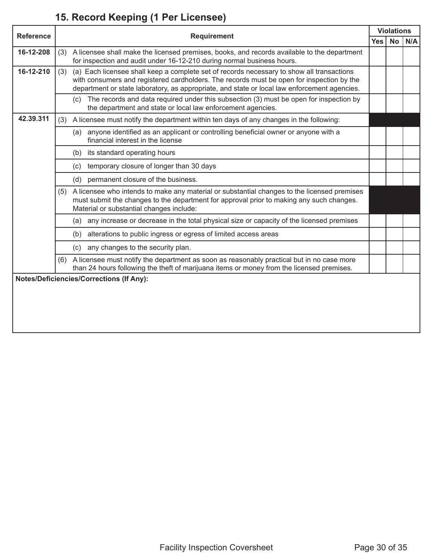# **15. Record Keeping (1 Per Licensee)**

| <b>Reference</b> |     | <b>Requirement</b>                                                                                                                                                                                                                                                                     |            | <b>Violations</b> |     |
|------------------|-----|----------------------------------------------------------------------------------------------------------------------------------------------------------------------------------------------------------------------------------------------------------------------------------------|------------|-------------------|-----|
|                  |     |                                                                                                                                                                                                                                                                                        | <b>Yes</b> | <b>No</b>         | N/A |
| 16-12-208        |     | (3) A licensee shall make the licensed premises, books, and records available to the department<br>for inspection and audit under 16-12-210 during normal business hours.                                                                                                              |            |                   |     |
| 16-12-210        | (3) | (a) Each licensee shall keep a complete set of records necessary to show all transactions<br>with consumers and registered cardholders. The records must be open for inspection by the<br>department or state laboratory, as appropriate, and state or local law enforcement agencies. |            |                   |     |
|                  |     | The records and data required under this subsection (3) must be open for inspection by<br>(c)<br>the department and state or local law enforcement agencies.                                                                                                                           |            |                   |     |
| 42.39.311        | (3) | A licensee must notify the department within ten days of any changes in the following:                                                                                                                                                                                                 |            |                   |     |
|                  |     | anyone identified as an applicant or controlling beneficial owner or anyone with a<br>(a)<br>financial interest in the license                                                                                                                                                         |            |                   |     |
|                  |     | its standard operating hours<br>(b)                                                                                                                                                                                                                                                    |            |                   |     |
|                  |     | temporary closure of longer than 30 days<br>(c)                                                                                                                                                                                                                                        |            |                   |     |
|                  |     | permanent closure of the business.<br>(d)                                                                                                                                                                                                                                              |            |                   |     |
|                  | (5) | A licensee who intends to make any material or substantial changes to the licensed premises<br>must submit the changes to the department for approval prior to making any such changes.<br>Material or substantial changes include:                                                    |            |                   |     |
|                  |     | any increase or decrease in the total physical size or capacity of the licensed premises<br>(a)                                                                                                                                                                                        |            |                   |     |
|                  |     | alterations to public ingress or egress of limited access areas<br>(b)                                                                                                                                                                                                                 |            |                   |     |
|                  |     | any changes to the security plan.<br>(c)                                                                                                                                                                                                                                               |            |                   |     |
|                  | (6) | A licensee must notify the department as soon as reasonably practical but in no case more<br>than 24 hours following the theft of marijuana items or money from the licensed premises.                                                                                                 |            |                   |     |
|                  |     | <b>Notes/Deficiencies/Corrections (If Any):</b>                                                                                                                                                                                                                                        |            |                   |     |
|                  |     |                                                                                                                                                                                                                                                                                        |            |                   |     |
|                  |     |                                                                                                                                                                                                                                                                                        |            |                   |     |